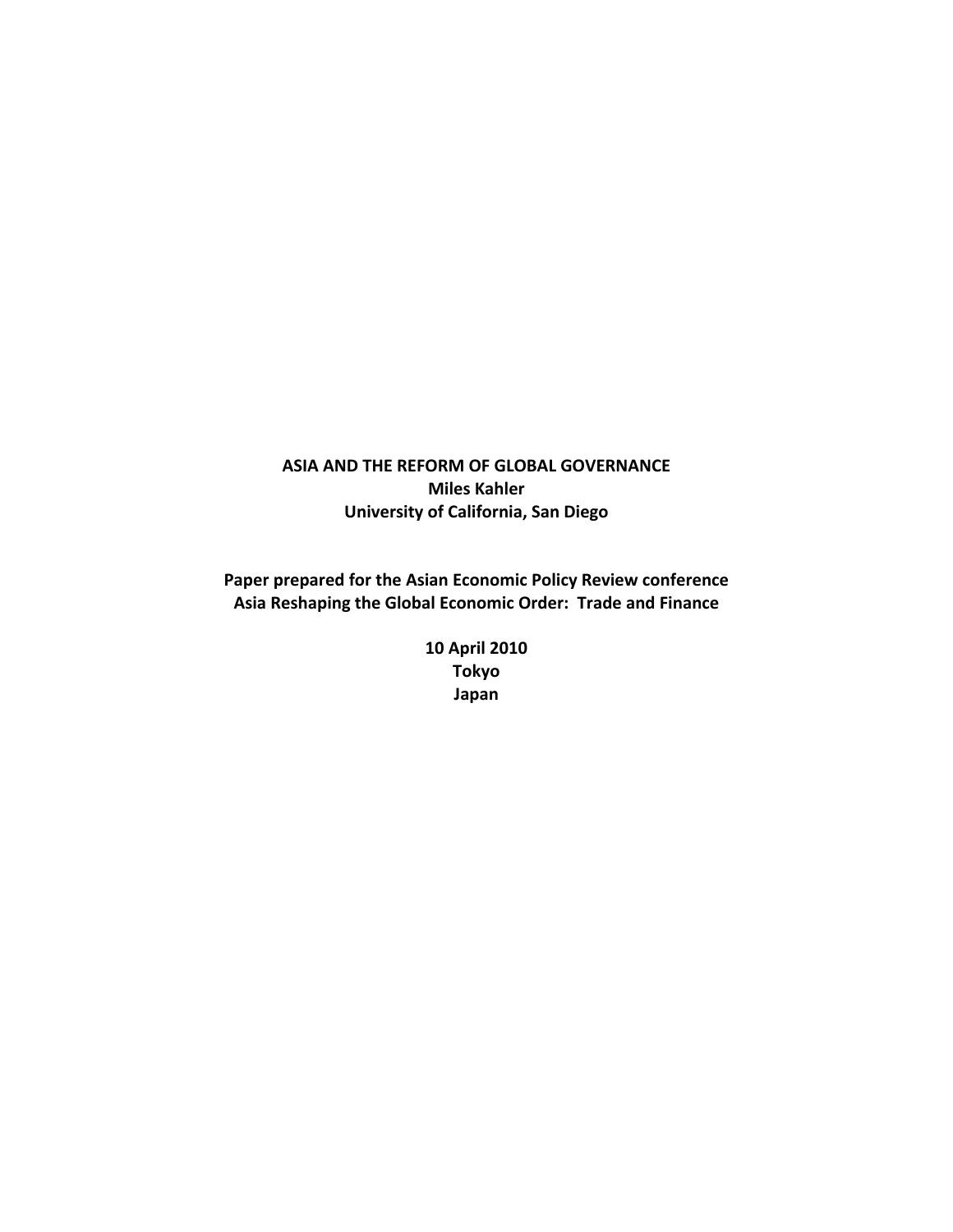# **ASIA AND THE REFORM OF GLOBAL GOVERNANCE Miles Kahler University of California, San Diego**

**Paper prepared for the Asian Economic Policy Review conference Asia Reshaping the Global Economic Order: Trade and Finance**

> **10 April 2010 Tokyo Japan**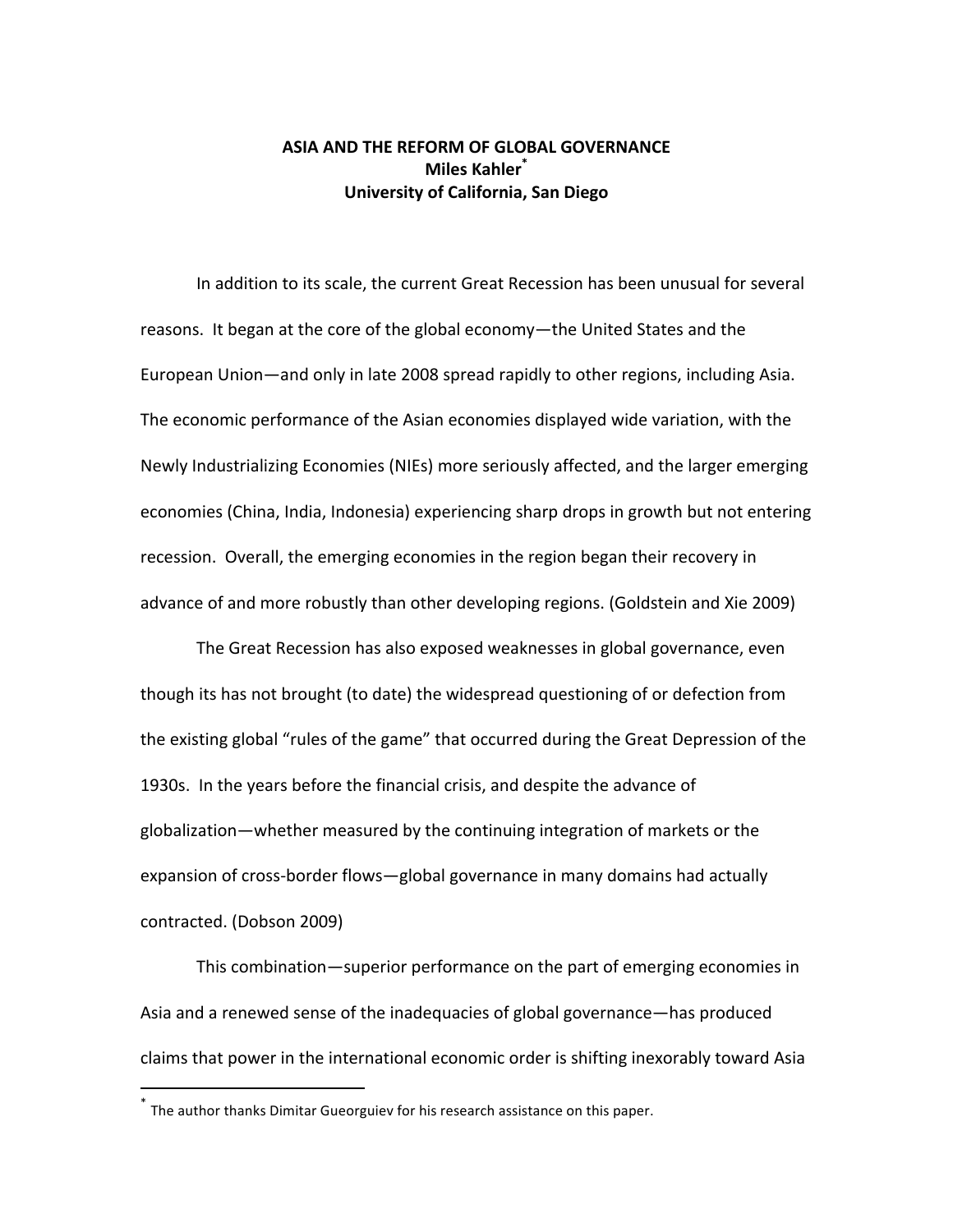## **ASIA AND THE REFORM OF GLOBAL GOVERNANCE Miles Kahler\* University of California, San Diego**

In addition to its scale, the current Great Recession has been unusual for several reasons. It began at the core of the global economy—the United States and the European Union—and only in late 2008 spread rapidly to other regions, including Asia. The economic performance of the Asian economies displayed wide variation, with the Newly Industrializing Economies (NIEs) more seriously affected, and the larger emerging economies (China, India, Indonesia) experiencing sharp drops in growth but not entering recession. Overall, the emerging economies in the region began their recovery in advance of and more robustly than other developing regions. (Goldstein and Xie 2009)

The Great Recession has also exposed weaknesses in global governance, even though its has not brought (to date) the widespread questioning of or defection from the existing global "rules of the game" that occurred during the Great Depression of the 1930s. In the years before the financial crisis, and despite the advance of globalization—whether measured by the continuing integration of markets or the expansion of cross-border flows—global governance in many domains had actually contracted. (Dobson 2009)

This combination—superior performance on the part of emerging economies in Asia and a renewed sense of the inadequacies of global governance—has produced claims that power in the international economic order is shifting inexorably toward Asia

<sup>\*</sup> The author thanks Dimitar Gueorguiev for his research assistance on this paper.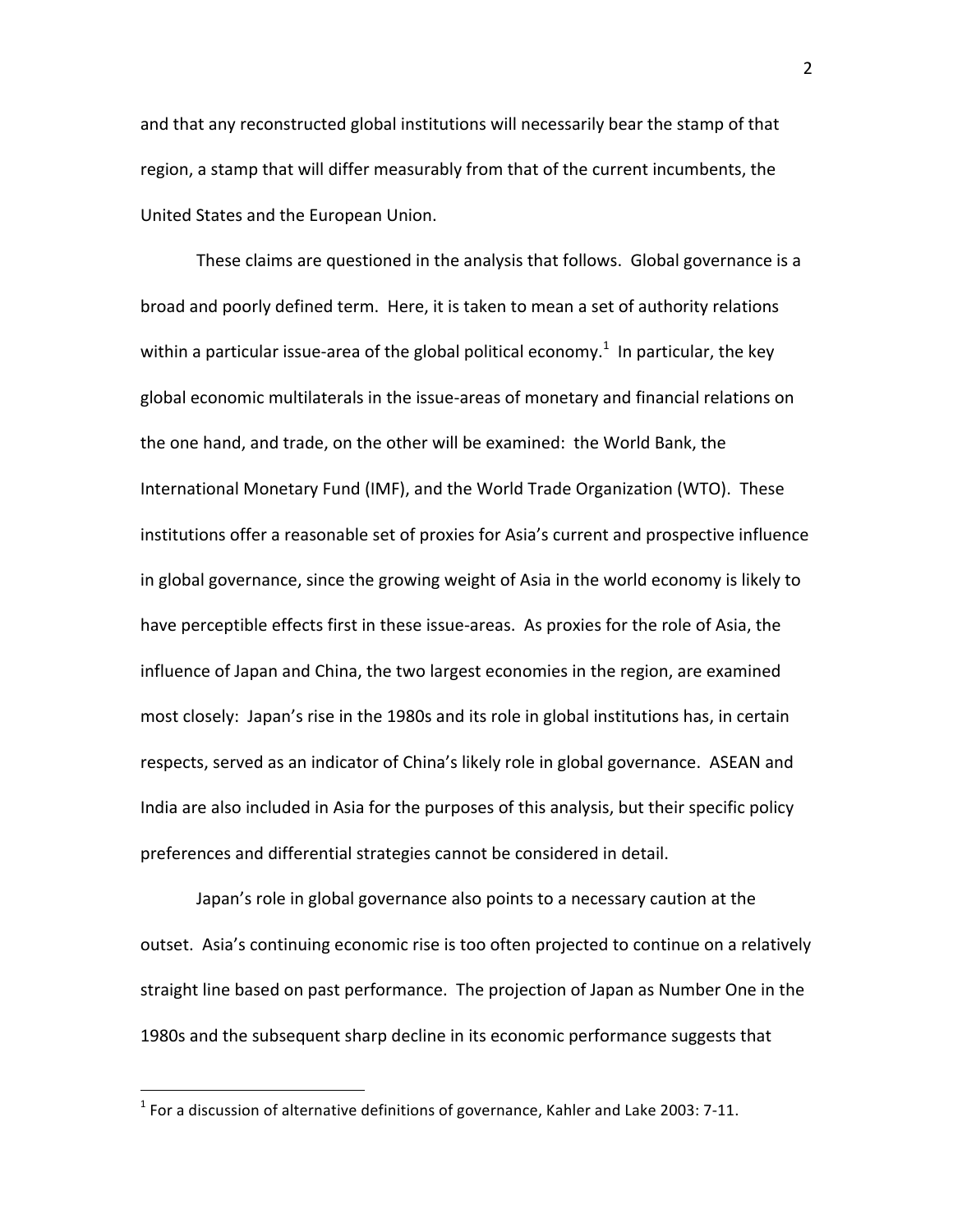and that any reconstructed global institutions will necessarily bear the stamp of that region, a stamp that will differ measurably from that of the current incumbents, the United States and the European Union.

These claims are questioned in the analysis that follows. Global governance is a broad and poorly defined term. Here, it is taken to mean a set of authority relations within a particular issue-area of the global political economy.<sup>1</sup> In particular, the key global economic multilaterals in the issue‐areas of monetary and financial relations on the one hand, and trade, on the other will be examined: the World Bank, the International Monetary Fund (IMF), and the World Trade Organization (WTO). These institutions offer a reasonable set of proxies for Asia's current and prospective influence in global governance, since the growing weight of Asia in the world economy is likely to have perceptible effects first in these issue-areas. As proxies for the role of Asia, the influence of Japan and China, the two largest economies in the region, are examined most closely: Japan's rise in the 1980s and its role in global institutions has, in certain respects, served as an indicator of China's likely role in global governance. ASEAN and India are also included in Asia for the purposes of this analysis, but their specific policy preferences and differential strategies cannot be considered in detail.

Japan's role in global governance also points to a necessary caution at the outset. Asia's continuing economic rise is too often projected to continue on a relatively straight line based on past performance. The projection of Japan as Number One in the 1980s and the subsequent sharp decline in its economic performance suggests that

 $1$  For a discussion of alternative definitions of governance, Kahler and Lake 2003: 7-11.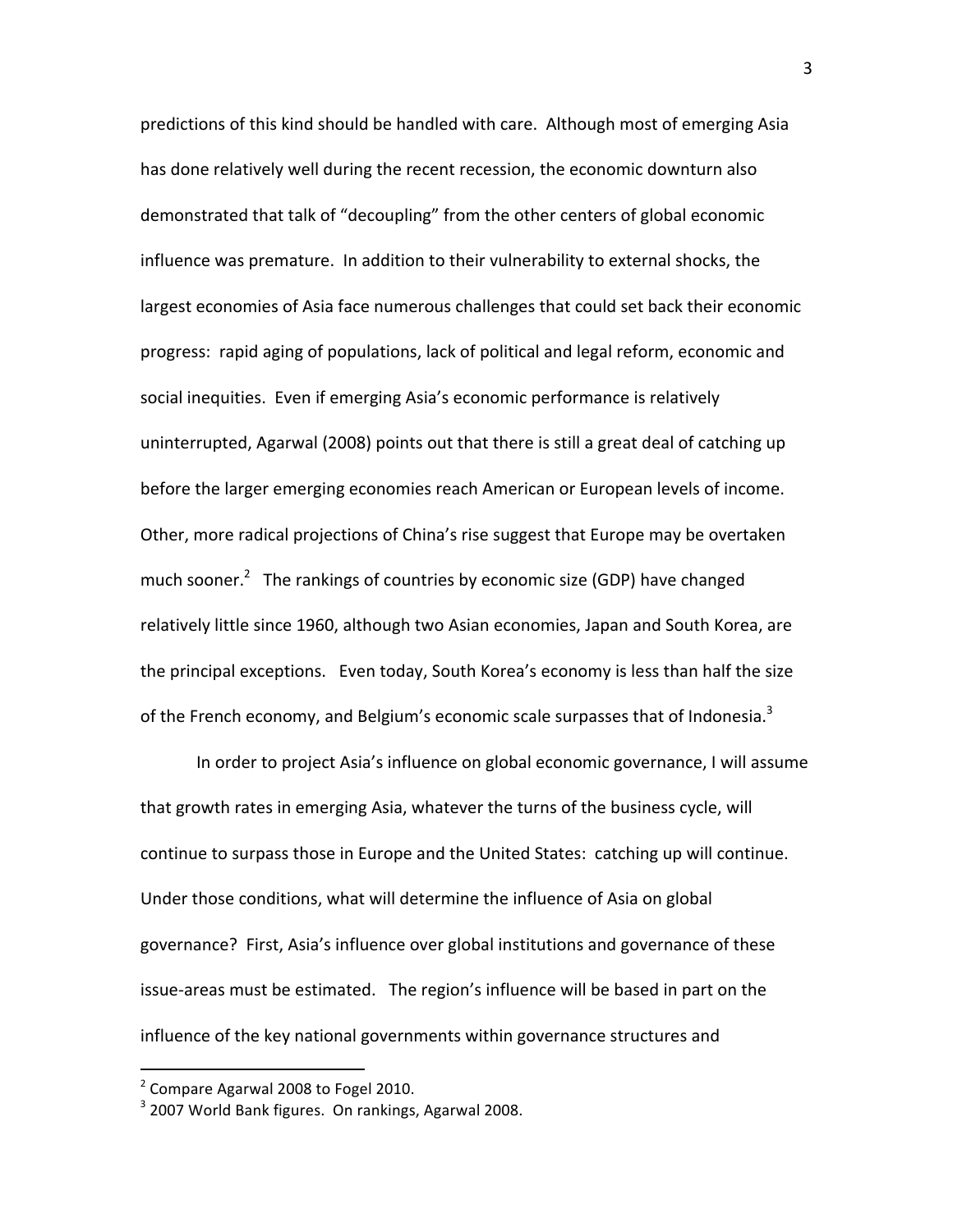predictions of this kind should be handled with care. Although most of emerging Asia has done relatively well during the recent recession, the economic downturn also demonstrated that talk of "decoupling" from the other centers of global economic influence was premature. In addition to their vulnerability to external shocks, the largest economies of Asia face numerous challenges that could set back their economic progress: rapid aging of populations, lack of political and legal reform, economic and social inequities. Even if emerging Asia's economic performance is relatively uninterrupted, Agarwal (2008) points out that there is still a great deal of catching up before the larger emerging economies reach American or European levels of income. Other, more radical projections of China's rise suggest that Europe may be overtaken much sooner.<sup>2</sup> The rankings of countries by economic size (GDP) have changed relatively little since 1960, although two Asian economies, Japan and South Korea, are the principal exceptions. Even today, South Korea's economy is less than half the size of the French economy, and Belgium's economic scale surpasses that of Indonesia. $3$ 

In order to project Asia's influence on global economic governance, I will assume that growth rates in emerging Asia, whatever the turns of the business cycle, will continue to surpass those in Europe and the United States: catching up will continue. Under those conditions, what will determine the influence of Asia on global governance? First, Asia's influence over global institutions and governance of these issue‐areas must be estimated. The region's influence will be based in part on the influence of the key national governments within governance structures and

 $2$  Compare Agarwal 2008 to Fogel 2010.

<sup>&</sup>lt;sup>3</sup> 2007 World Bank figures. On rankings, Agarwal 2008.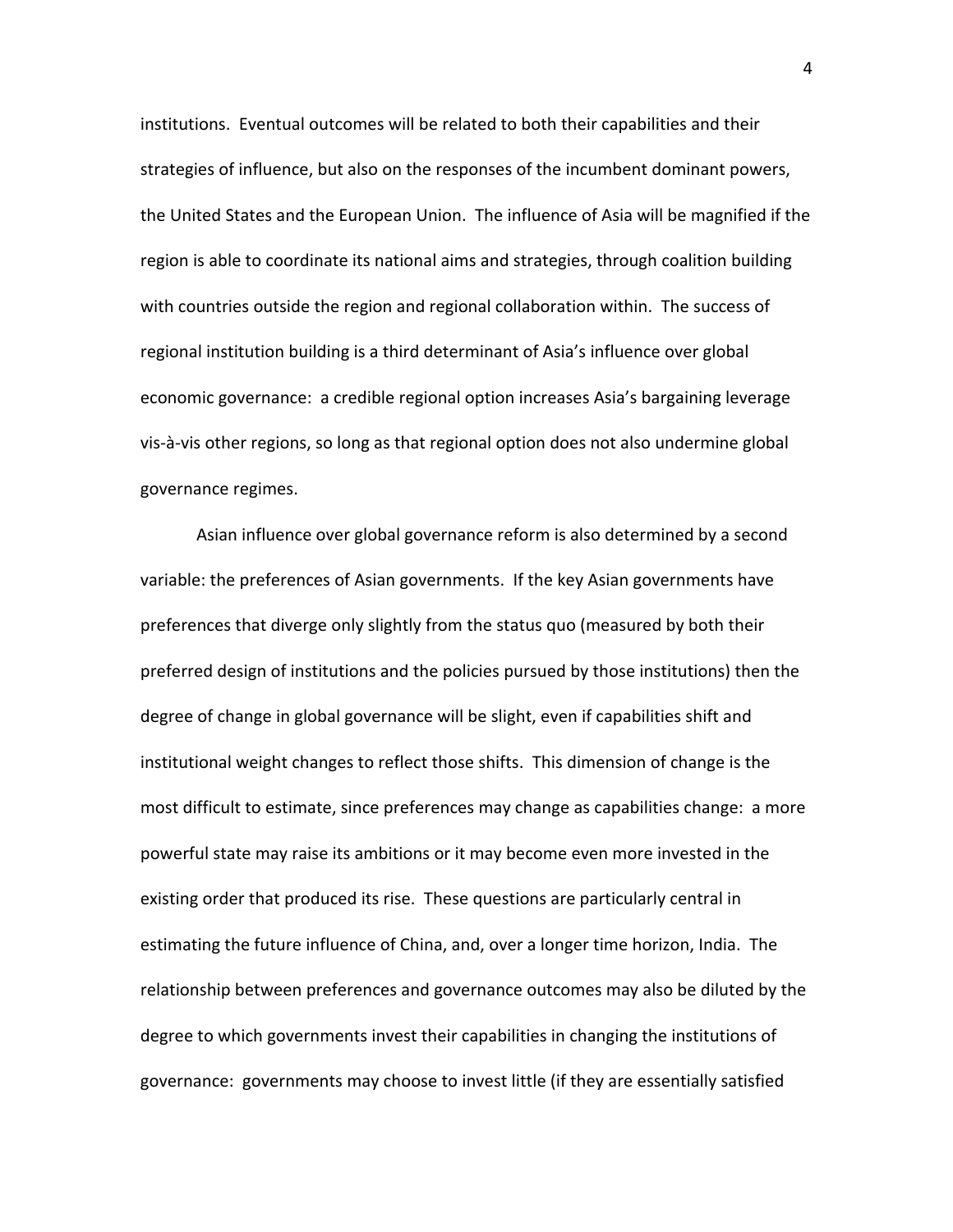institutions. Eventual outcomes will be related to both their capabilities and their strategies of influence, but also on the responses of the incumbent dominant powers, the United States and the European Union. The influence of Asia will be magnified if the region is able to coordinate its national aims and strategies, through coalition building with countries outside the region and regional collaboration within. The success of regional institution building is a third determinant of Asia's influence over global economic governance: a credible regional option increases Asia's bargaining leverage vis‐à‐vis other regions, so long as that regional option does not also undermine global governance regimes.

Asian influence over global governance reform is also determined by a second variable: the preferences of Asian governments. If the key Asian governments have preferences that diverge only slightly from the status quo (measured by both their preferred design of institutions and the policies pursued by those institutions) then the degree of change in global governance will be slight, even if capabilities shift and institutional weight changes to reflect those shifts. This dimension of change is the most difficult to estimate, since preferences may change as capabilities change: a more powerful state may raise its ambitions or it may become even more invested in the existing order that produced its rise. These questions are particularly central in estimating the future influence of China, and, over a longer time horizon, India. The relationship between preferences and governance outcomes may also be diluted by the degree to which governments invest their capabilities in changing the institutions of governance: governments may choose to invest little (if they are essentially satisfied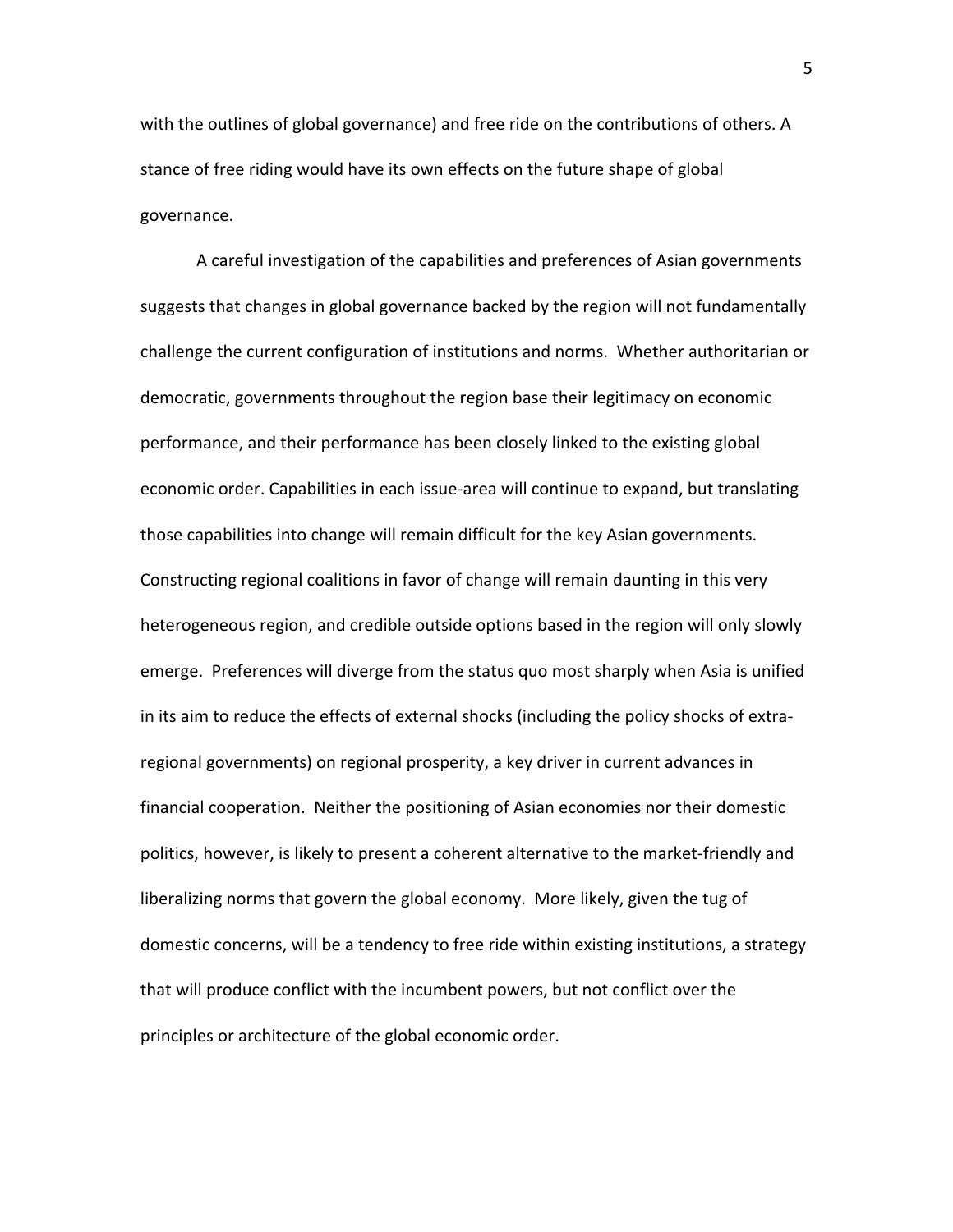with the outlines of global governance) and free ride on the contributions of others. A stance of free riding would have its own effects on the future shape of global governance.

A careful investigation of the capabilities and preferences of Asian governments suggests that changes in global governance backed by the region will not fundamentally challenge the current configuration of institutions and norms. Whether authoritarian or democratic, governments throughout the region base their legitimacy on economic performance, and their performance has been closely linked to the existing global economic order. Capabilities in each issue‐area will continue to expand, but translating those capabilities into change will remain difficult for the key Asian governments. Constructing regional coalitions in favor of change will remain daunting in this very heterogeneous region, and credible outside options based in the region will only slowly emerge. Preferences will diverge from the status quo most sharply when Asia is unified in its aim to reduce the effects of external shocks (including the policy shocks of extra‐ regional governments) on regional prosperity, a key driver in current advances in financial cooperation. Neither the positioning of Asian economies nor their domestic politics, however, is likely to present a coherent alternative to the market‐friendly and liberalizing norms that govern the global economy. More likely, given the tug of domestic concerns, will be a tendency to free ride within existing institutions, a strategy that will produce conflict with the incumbent powers, but not conflict over the principles or architecture of the global economic order.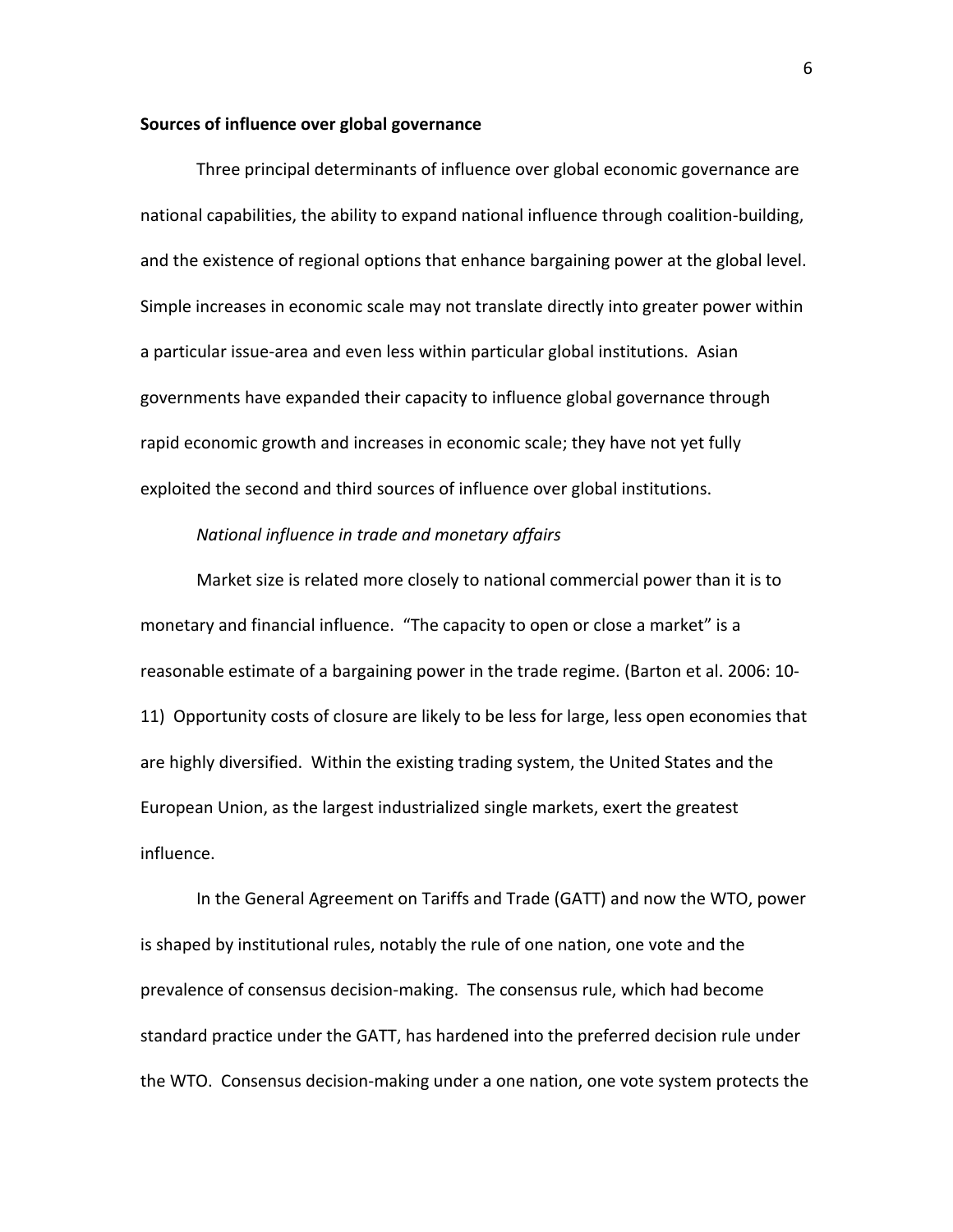### **Sources of influence over global governance**

Three principal determinants of influence over global economic governance are national capabilities, the ability to expand national influence through coalition‐building, and the existence of regional options that enhance bargaining power at the global level. Simple increases in economic scale may not translate directly into greater power within a particular issue‐area and even less within particular global institutions. Asian governments have expanded their capacity to influence global governance through rapid economic growth and increases in economic scale; they have not yet fully exploited the second and third sources of influence over global institutions.

## *National influence in trade and monetary affairs*

Market size is related more closely to national commercial power than it is to monetary and financial influence. "The capacity to open or close a market" is a reasonable estimate of a bargaining power in the trade regime. (Barton et al. 2006: 10‐ 11) Opportunity costs of closure are likely to be less for large, less open economies that are highly diversified. Within the existing trading system, the United States and the European Union, as the largest industrialized single markets, exert the greatest influence.

In the General Agreement on Tariffs and Trade (GATT) and now the WTO, power is shaped by institutional rules, notably the rule of one nation, one vote and the prevalence of consensus decision‐making. The consensus rule, which had become standard practice under the GATT, has hardened into the preferred decision rule under the WTO. Consensus decision‐making under a one nation, one vote system protects the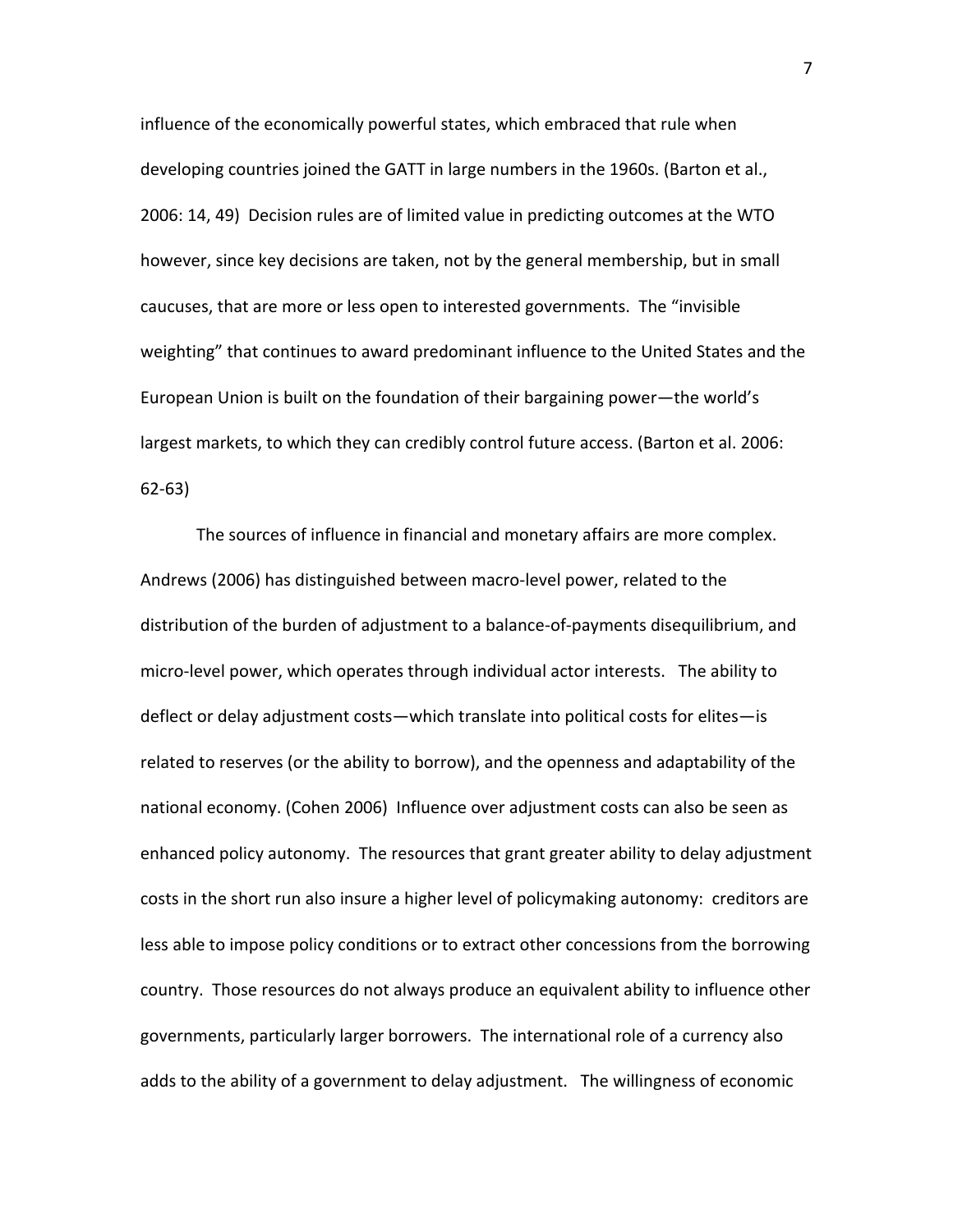influence of the economically powerful states, which embraced that rule when developing countries joined the GATT in large numbers in the 1960s. (Barton et al., 2006: 14, 49) Decision rules are of limited value in predicting outcomes at the WTO however, since key decisions are taken, not by the general membership, but in small caucuses, that are more or less open to interested governments. The "invisible weighting" that continues to award predominant influence to the United States and the European Union is built on the foundation of their bargaining power—the world's largest markets, to which they can credibly control future access. (Barton et al. 2006: 62‐63)

The sources of influence in financial and monetary affairs are more complex. Andrews (2006) has distinguished between macro‐level power, related to the distribution of the burden of adjustment to a balance‐of‐payments disequilibrium, and micro‐level power, which operates through individual actor interests. The ability to deflect or delay adjustment costs—which translate into political costs for elites—is related to reserves (or the ability to borrow), and the openness and adaptability of the national economy. (Cohen 2006) Influence over adjustment costs can also be seen as enhanced policy autonomy. The resources that grant greater ability to delay adjustment costs in the short run also insure a higher level of policymaking autonomy: creditors are less able to impose policy conditions or to extract other concessions from the borrowing country. Those resources do not always produce an equivalent ability to influence other governments, particularly larger borrowers. The international role of a currency also adds to the ability of a government to delay adjustment. The willingness of economic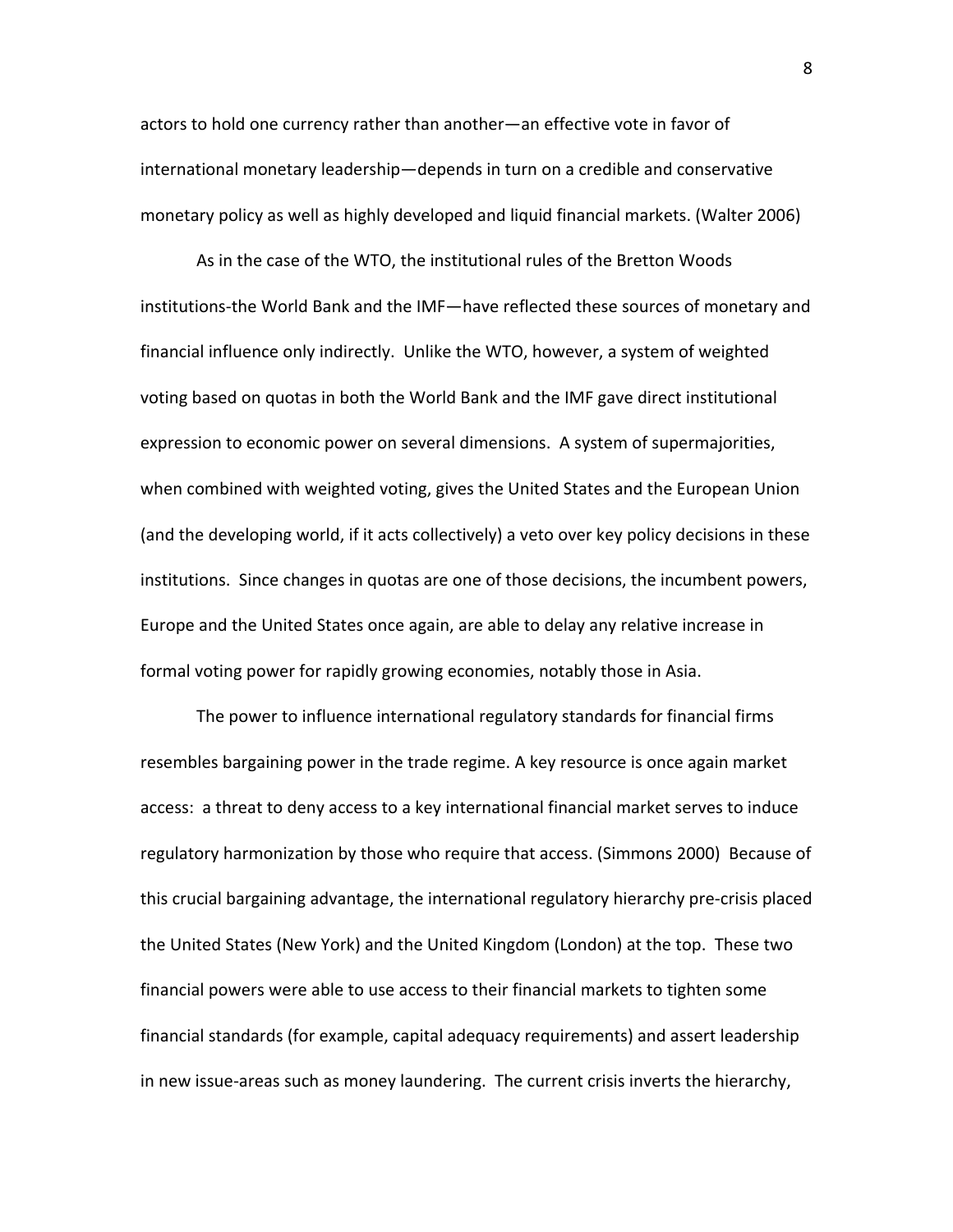actors to hold one currency rather than another—an effective vote in favor of international monetary leadership—depends in turn on a credible and conservative monetary policy as well as highly developed and liquid financial markets. (Walter 2006)

As in the case of the WTO, the institutional rules of the Bretton Woods institutions‐the World Bank and the IMF—have reflected these sources of monetary and financial influence only indirectly. Unlike the WTO, however, a system of weighted voting based on quotas in both the World Bank and the IMF gave direct institutional expression to economic power on several dimensions. A system of supermajorities, when combined with weighted voting, gives the United States and the European Union (and the developing world, if it acts collectively) a veto over key policy decisions in these institutions. Since changes in quotas are one of those decisions, the incumbent powers, Europe and the United States once again, are able to delay any relative increase in formal voting power for rapidly growing economies, notably those in Asia.

The power to influence international regulatory standards for financial firms resembles bargaining power in the trade regime. A key resource is once again market access: a threat to deny access to a key international financial market serves to induce regulatory harmonization by those who require that access. (Simmons 2000) Because of this crucial bargaining advantage, the international regulatory hierarchy pre‐crisis placed the United States (New York) and the United Kingdom (London) at the top. These two financial powers were able to use access to their financial markets to tighten some financial standards (for example, capital adequacy requirements) and assert leadership in new issue-areas such as money laundering. The current crisis inverts the hierarchy,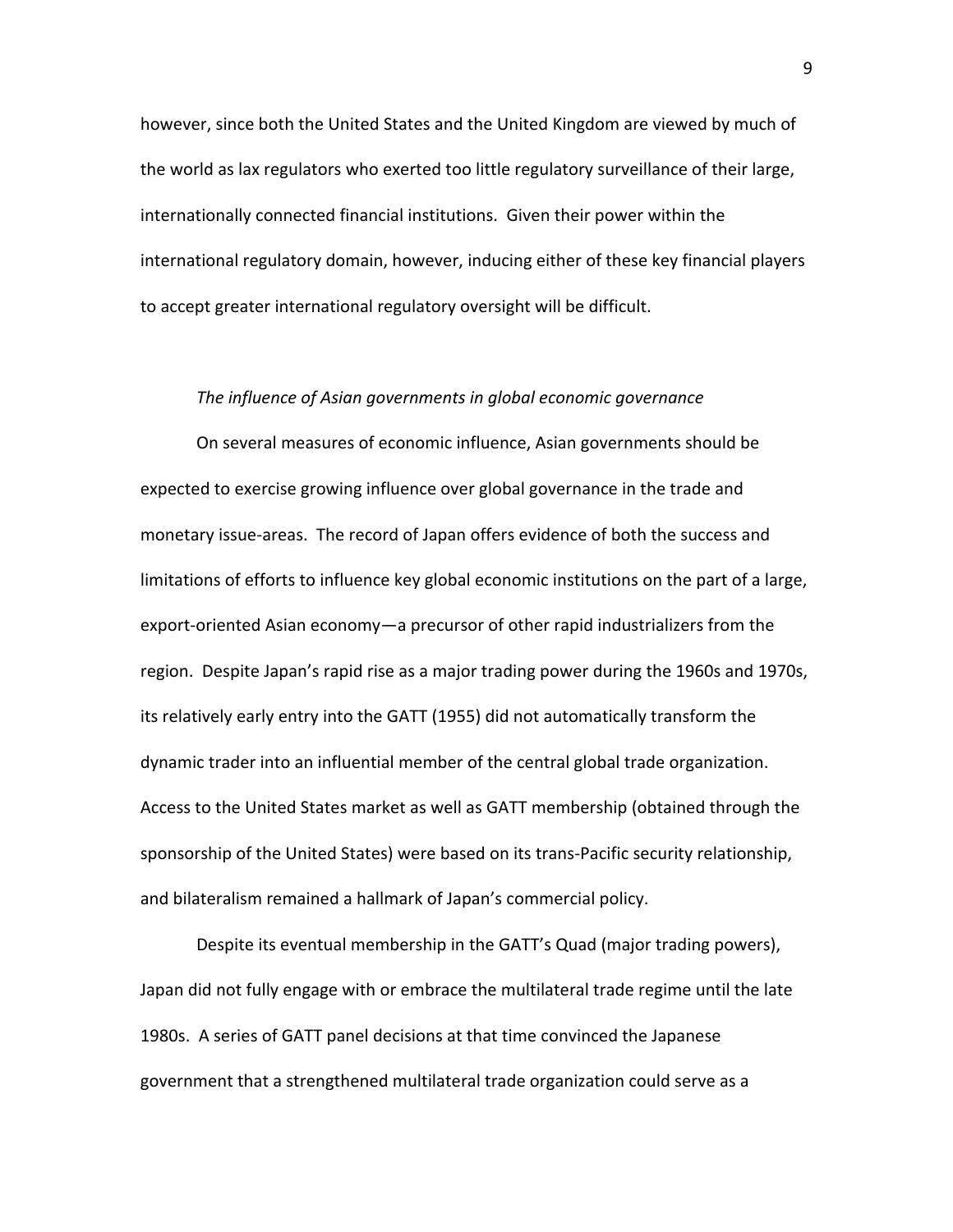however, since both the United States and the United Kingdom are viewed by much of the world as lax regulators who exerted too little regulatory surveillance of their large, internationally connected financial institutions. Given their power within the international regulatory domain, however, inducing either of these key financial players to accept greater international regulatory oversight will be difficult.

#### *The influence of Asian governments in global economic governance*

On several measures of economic influence, Asian governments should be expected to exercise growing influence over global governance in the trade and monetary issue‐areas. The record of Japan offers evidence of both the success and limitations of efforts to influence key global economic institutions on the part of a large, export-oriented Asian economy—a precursor of other rapid industrializers from the region. Despite Japan's rapid rise as a major trading power during the 1960s and 1970s, its relatively early entry into the GATT (1955) did not automatically transform the dynamic trader into an influential member of the central global trade organization. Access to the United States market as well as GATT membership (obtained through the sponsorship of the United States) were based on its trans‐Pacific security relationship, and bilateralism remained a hallmark of Japan's commercial policy.

Despite its eventual membership in the GATT's Quad (major trading powers), Japan did not fully engage with or embrace the multilateral trade regime until the late 1980s. A series of GATT panel decisions at that time convinced the Japanese government that a strengthened multilateral trade organization could serve as a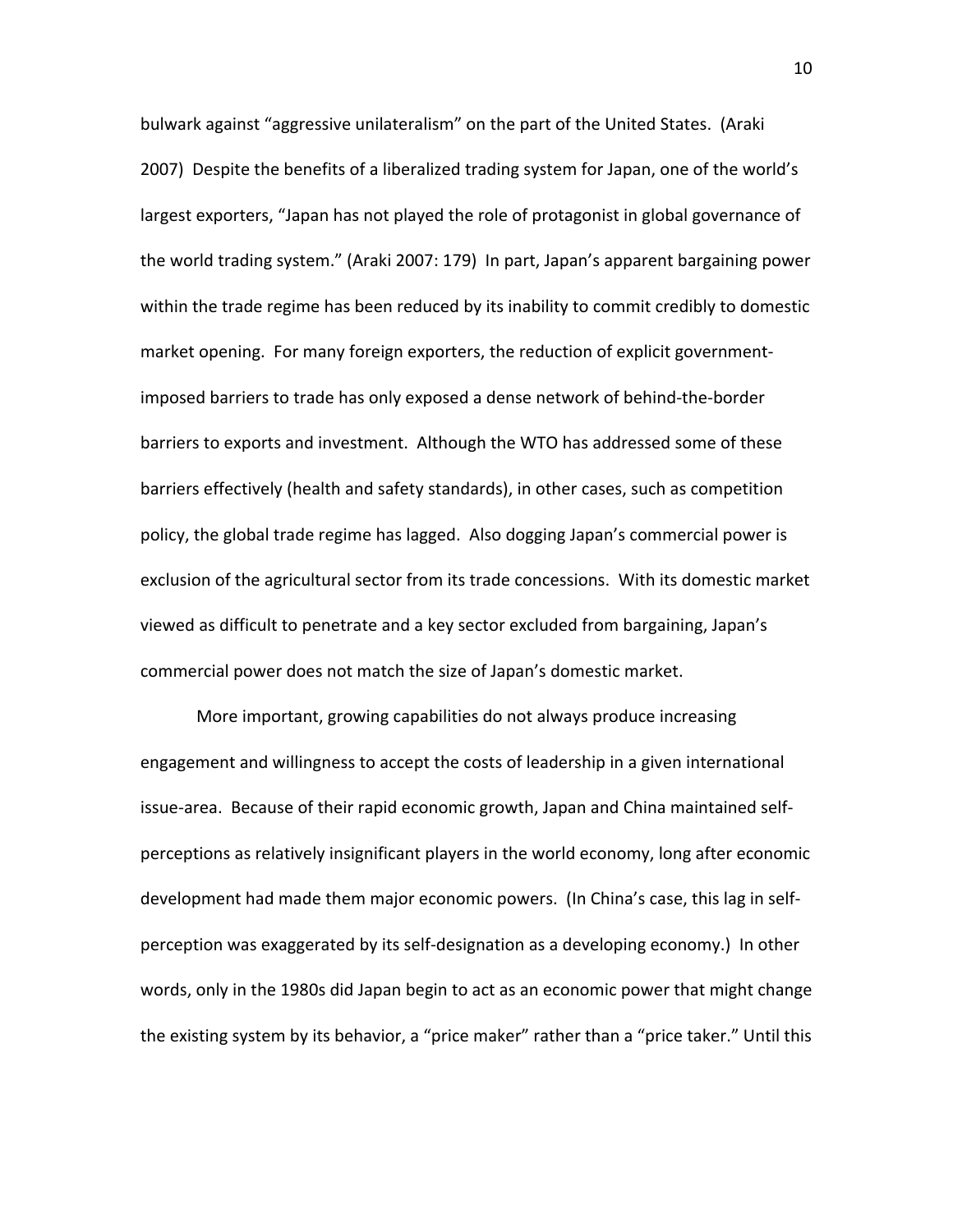bulwark against "aggressive unilateralism" on the part of the United States. (Araki 2007) Despite the benefits of a liberalized trading system for Japan, one of the world's largest exporters, "Japan has not played the role of protagonist in global governance of the world trading system." (Araki 2007: 179) In part, Japan's apparent bargaining power within the trade regime has been reduced by its inability to commit credibly to domestic market opening. For many foreign exporters, the reduction of explicit government‐ imposed barriers to trade has only exposed a dense network of behind‐the‐border barriers to exports and investment. Although the WTO has addressed some of these barriers effectively (health and safety standards), in other cases, such as competition policy, the global trade regime has lagged. Also dogging Japan's commercial power is exclusion of the agricultural sector from its trade concessions. With its domestic market viewed as difficult to penetrate and a key sector excluded from bargaining, Japan's commercial power does not match the size of Japan's domestic market.

More important, growing capabilities do not always produce increasing engagement and willingness to accept the costs of leadership in a given international issue‐area. Because of their rapid economic growth, Japan and China maintained self‐ perceptions as relatively insignificant players in the world economy, long after economic development had made them major economic powers. (In China's case, this lag in self‐ perception was exaggerated by its self‐designation as a developing economy.) In other words, only in the 1980s did Japan begin to act as an economic power that might change the existing system by its behavior, a "price maker" rather than a "price taker." Until this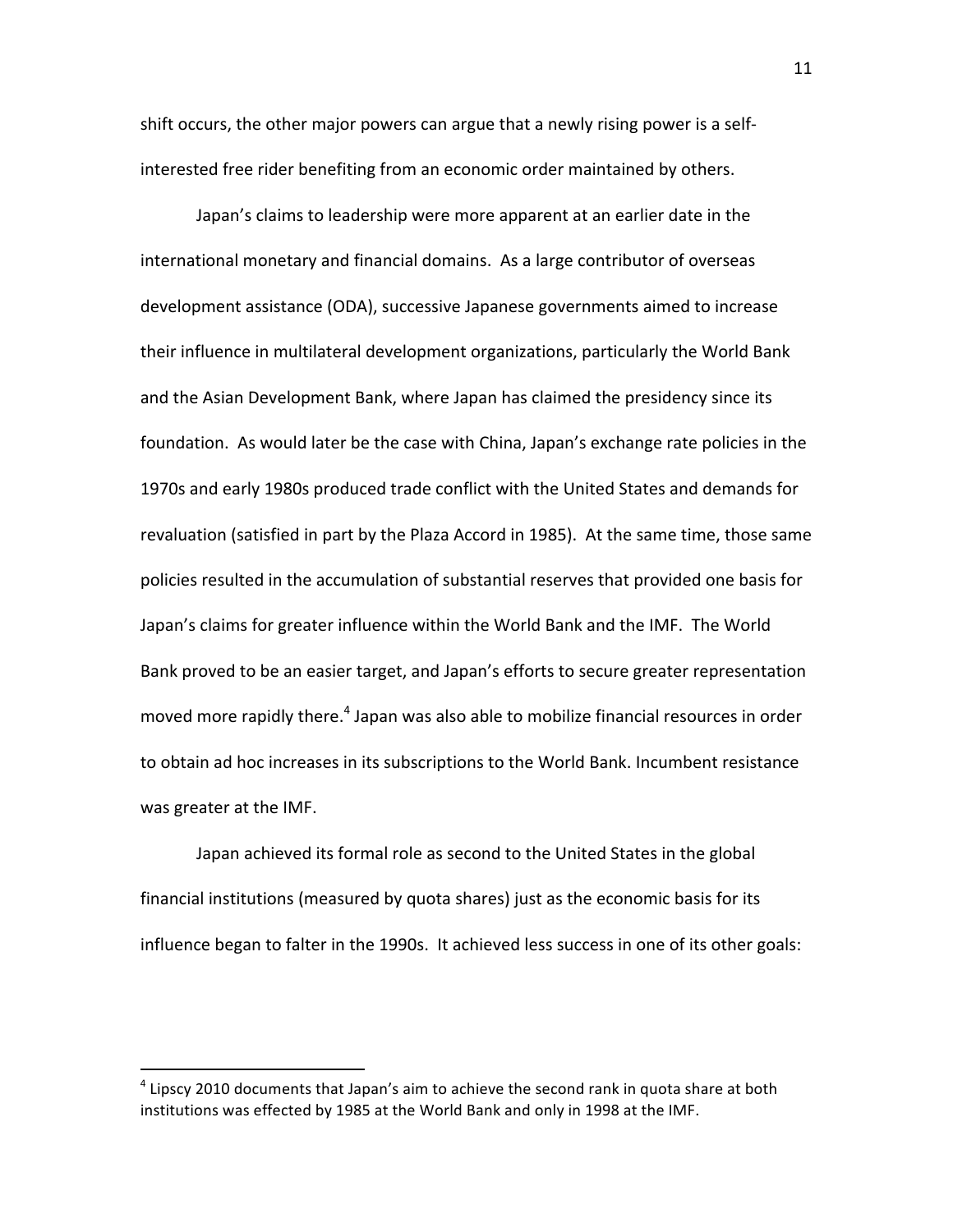shift occurs, the other major powers can argue that a newly rising power is a self‐ interested free rider benefiting from an economic order maintained by others.

Japan's claims to leadership were more apparent at an earlier date in the international monetary and financial domains. As a large contributor of overseas development assistance (ODA), successive Japanese governments aimed to increase their influence in multilateral development organizations, particularly the World Bank and the Asian Development Bank, where Japan has claimed the presidency since its foundation. As would later be the case with China, Japan's exchange rate policies in the 1970s and early 1980s produced trade conflict with the United States and demands for revaluation (satisfied in part by the Plaza Accord in 1985). At the same time, those same policies resulted in the accumulation of substantial reserves that provided one basis for Japan's claims for greater influence within the World Bank and the IMF. The World Bank proved to be an easier target, and Japan's efforts to secure greater representation moved more rapidly there. $^4$  Japan was also able to mobilize financial resources in order to obtain ad hoc increases in its subscriptions to the World Bank. Incumbent resistance was greater at the IMF.

Japan achieved its formal role as second to the United States in the global financial institutions (measured by quota shares) just as the economic basis for its influence began to falter in the 1990s. It achieved less success in one of its other goals:

 $<sup>4</sup>$  Lipscy 2010 documents that Japan's aim to achieve the second rank in quota share at both</sup> institutions was effected by 1985 at the World Bank and only in 1998 at the IMF.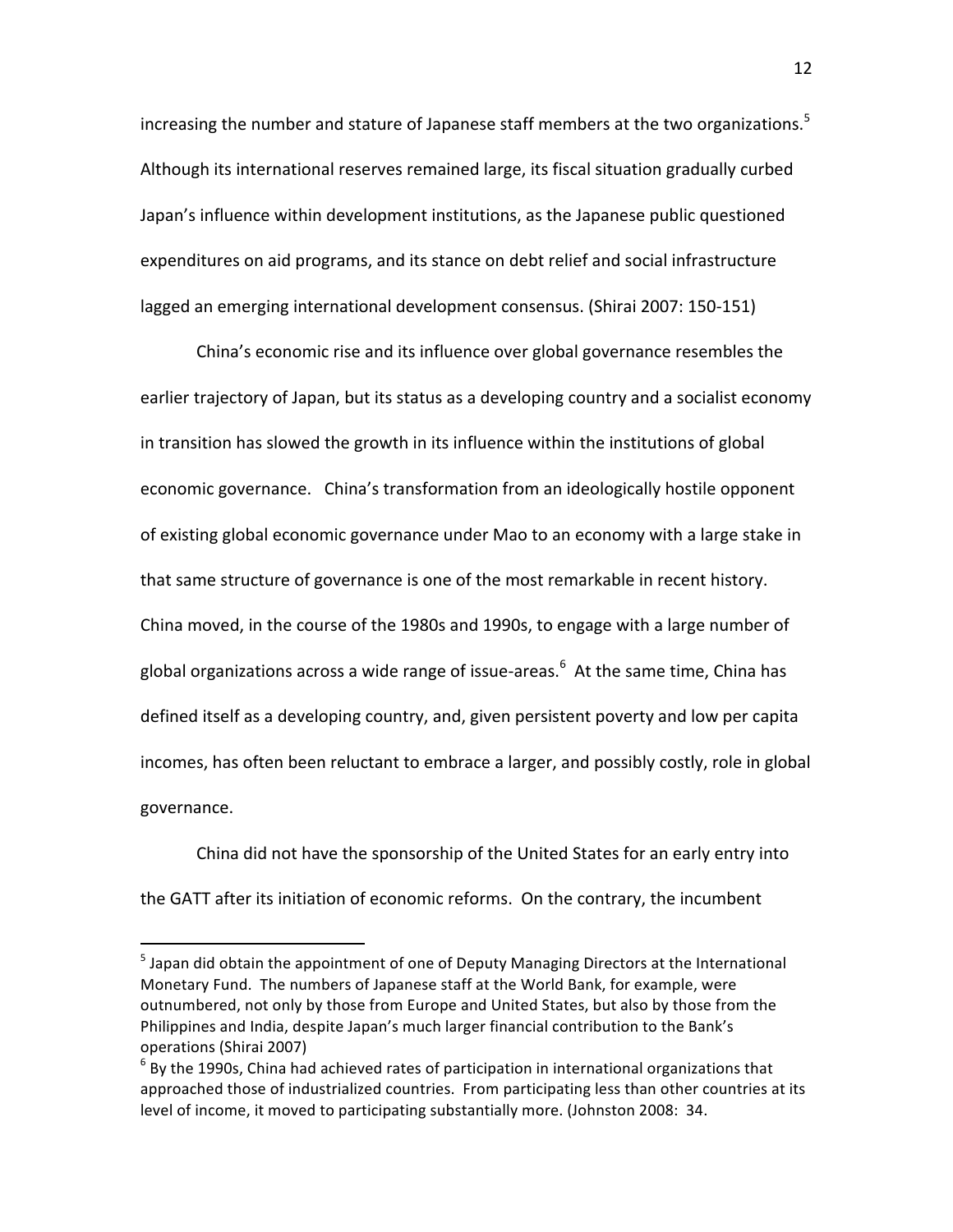increasing the number and stature of Japanese staff members at the two organizations.<sup>5</sup> Although its international reserves remained large, its fiscal situation gradually curbed Japan's influence within development institutions, as the Japanese public questioned expenditures on aid programs, and its stance on debt relief and social infrastructure lagged an emerging international development consensus. (Shirai 2007: 150‐151)

China's economic rise and its influence over global governance resembles the earlier trajectory of Japan, but its status as a developing country and a socialist economy in transition has slowed the growth in its influence within the institutions of global economic governance. China's transformation from an ideologically hostile opponent of existing global economic governance under Mao to an economy with a large stake in that same structure of governance is one of the most remarkable in recent history. China moved, in the course of the 1980s and 1990s, to engage with a large number of global organizations across a wide range of issue-areas.<sup>6</sup> At the same time, China has defined itself as a developing country, and, given persistent poverty and low per capita incomes, has often been reluctant to embrace a larger, and possibly costly, role in global governance.

China did not have the sponsorship of the United States for an early entry into the GATT after its initiation of economic reforms. On the contrary, the incumbent

<sup>&</sup>lt;sup>5</sup> Japan did obtain the appointment of one of Deputy Managing Directors at the International Monetary Fund. The numbers of Japanese staff at the World Bank, for example, were outnumbered, not only by those from Europe and United States, but also by those from the Philippines and India, despite Japan's much larger financial contribution to the Bank's operations (Shirai 2007)

 $<sup>6</sup>$  By the 1990s, China had achieved rates of participation in international organizations that</sup> approached those of industrialized countries. From participating less than other countries at its level of income, it moved to participating substantially more. (Johnston 2008: 34.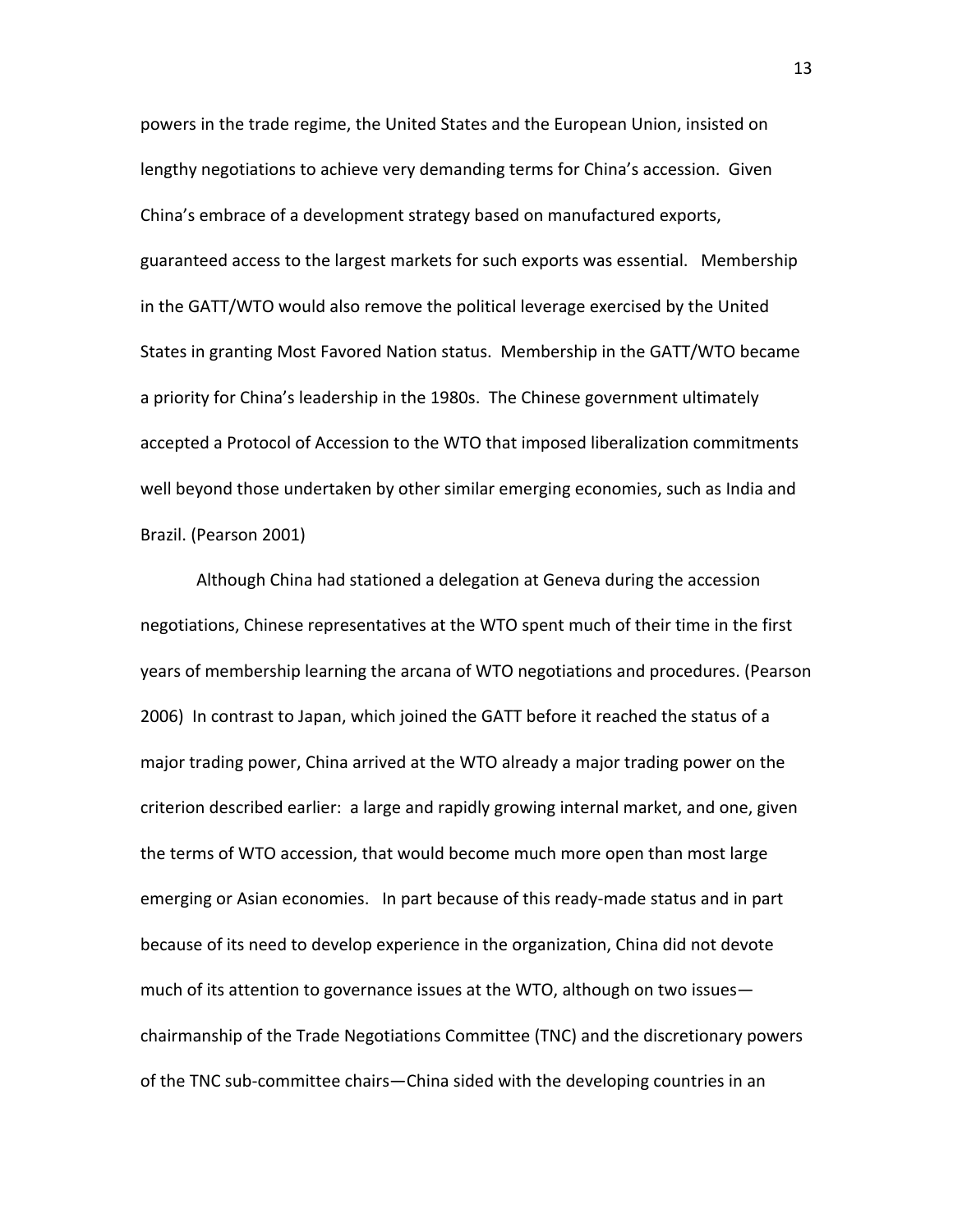powers in the trade regime, the United States and the European Union, insisted on lengthy negotiations to achieve very demanding terms for China's accession. Given China's embrace of a development strategy based on manufactured exports, guaranteed access to the largest markets for such exports was essential. Membership in the GATT/WTO would also remove the political leverage exercised by the United States in granting Most Favored Nation status. Membership in the GATT/WTO became a priority for China's leadership in the 1980s. The Chinese government ultimately accepted a Protocol of Accession to the WTO that imposed liberalization commitments well beyond those undertaken by other similar emerging economies, such as India and Brazil. (Pearson 2001)

Although China had stationed a delegation at Geneva during the accession negotiations, Chinese representatives at the WTO spent much of their time in the first years of membership learning the arcana of WTO negotiations and procedures. (Pearson 2006) In contrast to Japan, which joined the GATT before it reached the status of a major trading power, China arrived at the WTO already a major trading power on the criterion described earlier: a large and rapidly growing internal market, and one, given the terms of WTO accession, that would become much more open than most large emerging or Asian economies. In part because of this ready‐made status and in part because of its need to develop experience in the organization, China did not devote much of its attention to governance issues at the WTO, although on two issues chairmanship of the Trade Negotiations Committee (TNC) and the discretionary powers of the TNC sub‐committee chairs—China sided with the developing countries in an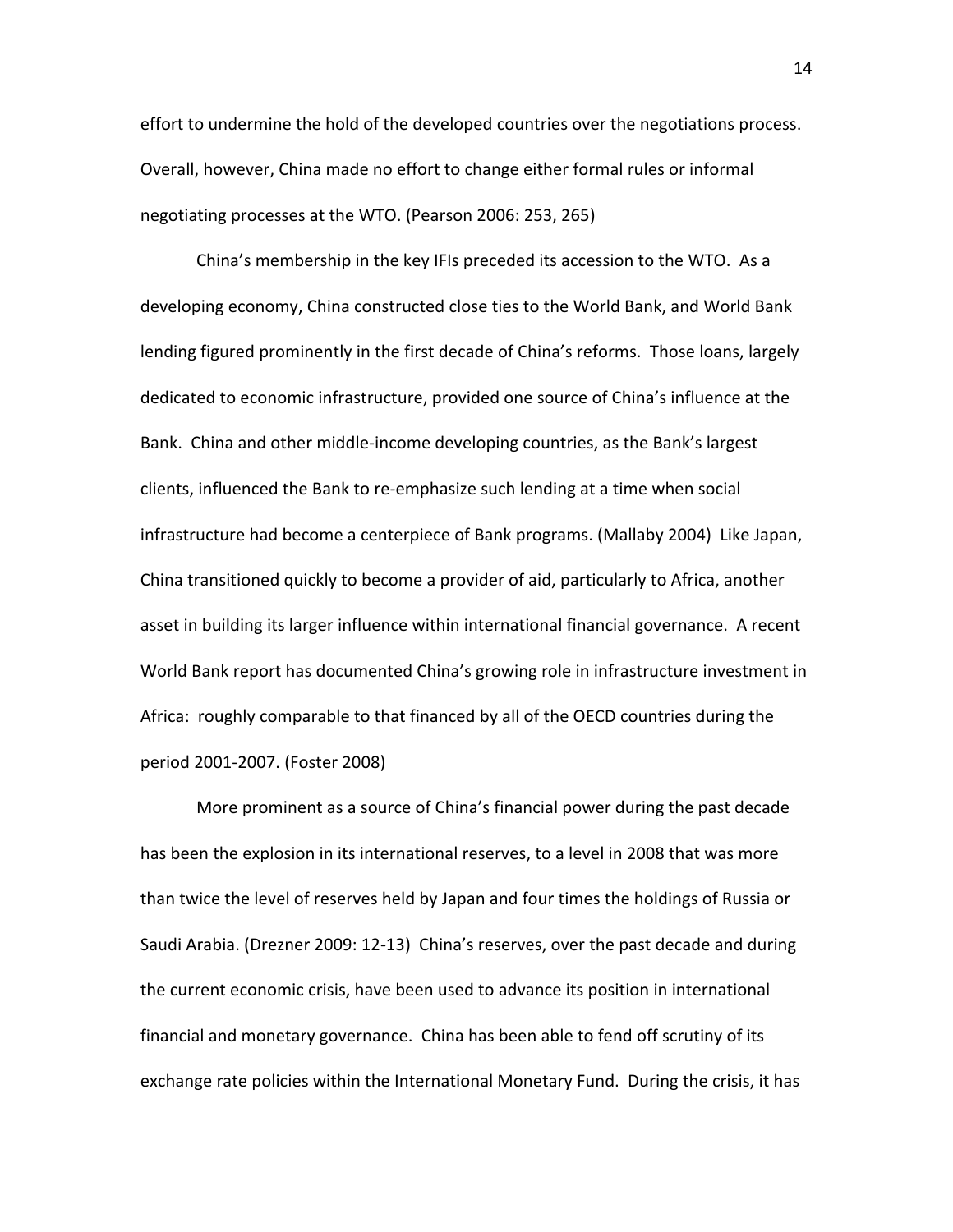effort to undermine the hold of the developed countries over the negotiations process. Overall, however, China made no effort to change either formal rules or informal negotiating processes at the WTO. (Pearson 2006: 253, 265)

China's membership in the key IFIs preceded its accession to the WTO. As a developing economy, China constructed close ties to the World Bank, and World Bank lending figured prominently in the first decade of China's reforms. Those loans, largely dedicated to economic infrastructure, provided one source of China's influence at the Bank. China and other middle‐income developing countries, as the Bank's largest clients, influenced the Bank to re‐emphasize such lending at a time when social infrastructure had become a centerpiece of Bank programs. (Mallaby 2004) Like Japan, China transitioned quickly to become a provider of aid, particularly to Africa, another asset in building its larger influence within international financial governance. A recent World Bank report has documented China's growing role in infrastructure investment in Africa: roughly comparable to that financed by all of the OECD countries during the period 2001‐2007. (Foster 2008)

More prominent as a source of China's financial power during the past decade has been the explosion in its international reserves, to a level in 2008 that was more than twice the level of reserves held by Japan and four times the holdings of Russia or Saudi Arabia. (Drezner 2009: 12‐13) China's reserves, over the past decade and during the current economic crisis, have been used to advance its position in international financial and monetary governance. China has been able to fend off scrutiny of its exchange rate policies within the International Monetary Fund. During the crisis, it has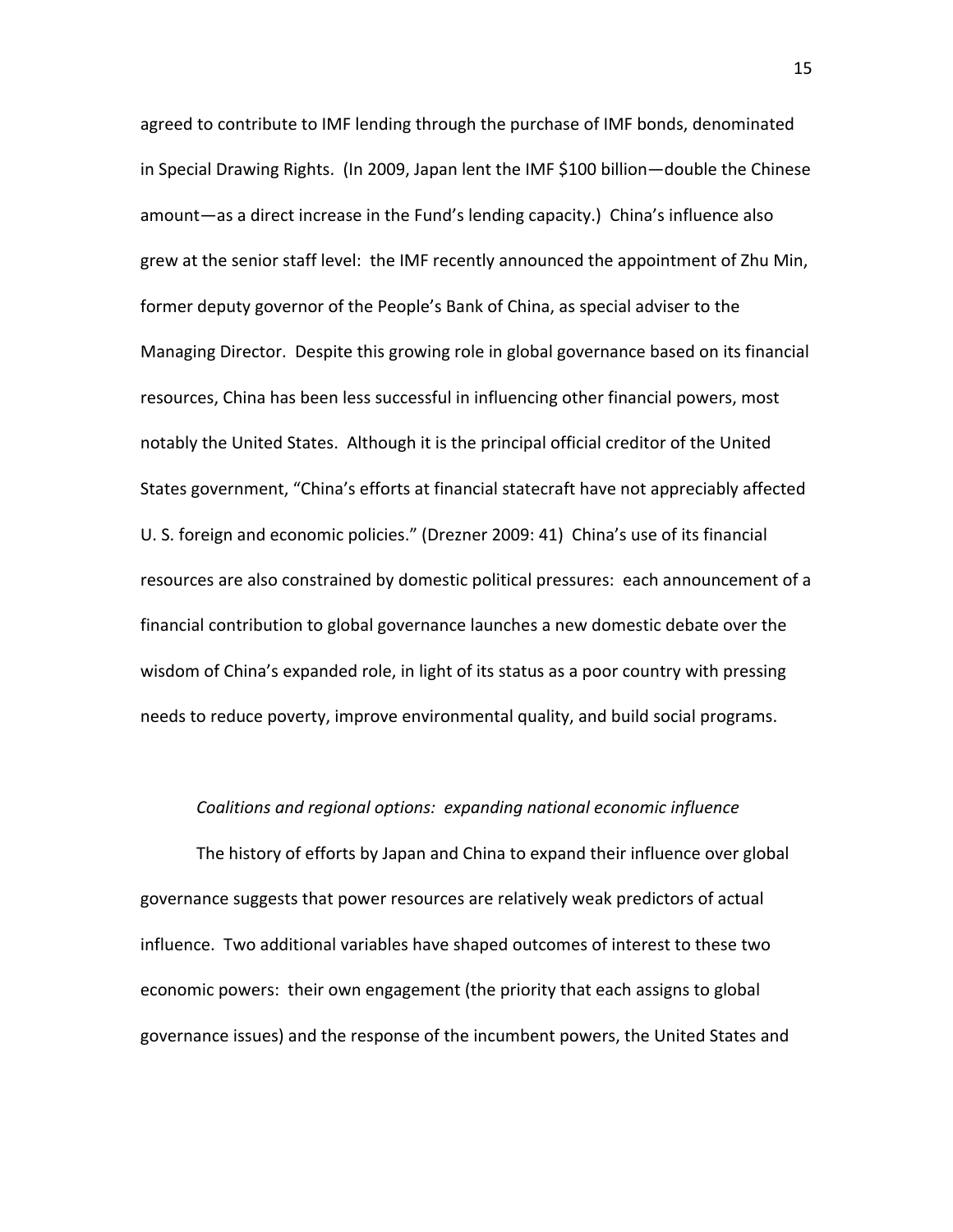agreed to contribute to IMF lending through the purchase of IMF bonds, denominated in Special Drawing Rights. (In 2009, Japan lent the IMF \$100 billion—double the Chinese amount—as a direct increase in the Fund's lending capacity.) China's influence also grew at the senior staff level: the IMF recently announced the appointment of Zhu Min, former deputy governor of the People's Bank of China, as special adviser to the Managing Director. Despite this growing role in global governance based on its financial resources, China has been less successful in influencing other financial powers, most notably the United States. Although it is the principal official creditor of the United States government, "China's efforts at financial statecraft have not appreciably affected U. S. foreign and economic policies." (Drezner 2009: 41) China's use of its financial resources are also constrained by domestic political pressures: each announcement of a financial contribution to global governance launches a new domestic debate over the wisdom of China's expanded role, in light of its status as a poor country with pressing needs to reduce poverty, improve environmental quality, and build social programs.

#### *Coalitions and regional options: expanding national economic influence*

The history of efforts by Japan and China to expand their influence over global governance suggests that power resources are relatively weak predictors of actual influence. Two additional variables have shaped outcomes of interest to these two economic powers: their own engagement (the priority that each assigns to global governance issues) and the response of the incumbent powers, the United States and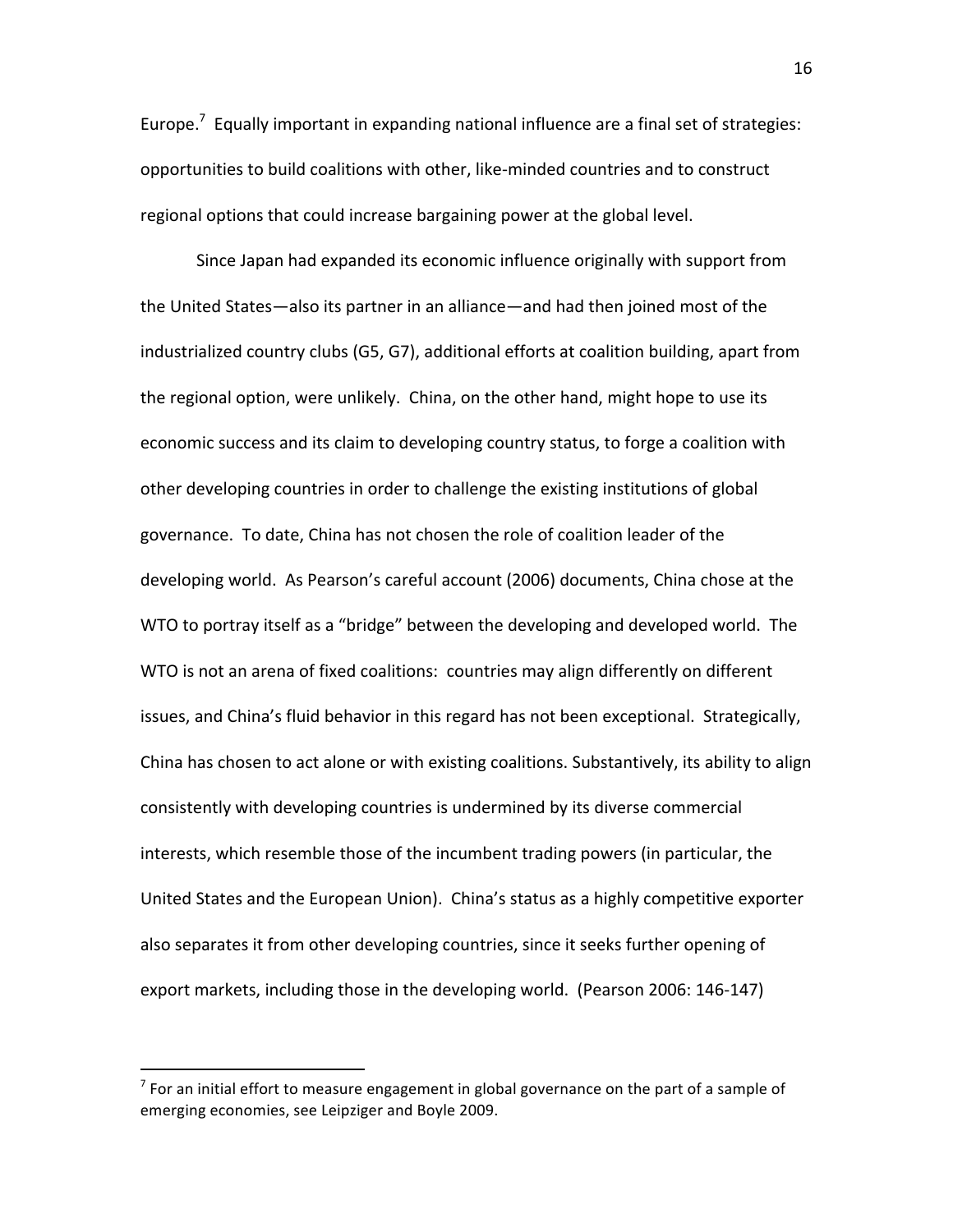Europe. $^7$  Equally important in expanding national influence are a final set of strategies: opportunities to build coalitions with other, like‐minded countries and to construct regional options that could increase bargaining power at the global level.

Since Japan had expanded its economic influence originally with support from the United States—also its partner in an alliance—and had then joined most of the industrialized country clubs (G5, G7), additional efforts at coalition building, apart from the regional option, were unlikely. China, on the other hand, might hope to use its economic success and its claim to developing country status, to forge a coalition with other developing countries in order to challenge the existing institutions of global governance. To date, China has not chosen the role of coalition leader of the developing world. As Pearson's careful account (2006) documents, China chose at the WTO to portray itself as a "bridge" between the developing and developed world. The WTO is not an arena of fixed coalitions: countries may align differently on different issues, and China's fluid behavior in this regard has not been exceptional. Strategically, China has chosen to act alone or with existing coalitions. Substantively, its ability to align consistently with developing countries is undermined by its diverse commercial interests, which resemble those of the incumbent trading powers (in particular, the United States and the European Union). China's status as a highly competitive exporter also separates it from other developing countries, since it seeks further opening of export markets, including those in the developing world. (Pearson 2006: 146‐147)

 $<sup>7</sup>$  For an initial effort to measure engagement in global governance on the part of a sample of</sup> emerging economies, see Leipziger and Boyle 2009.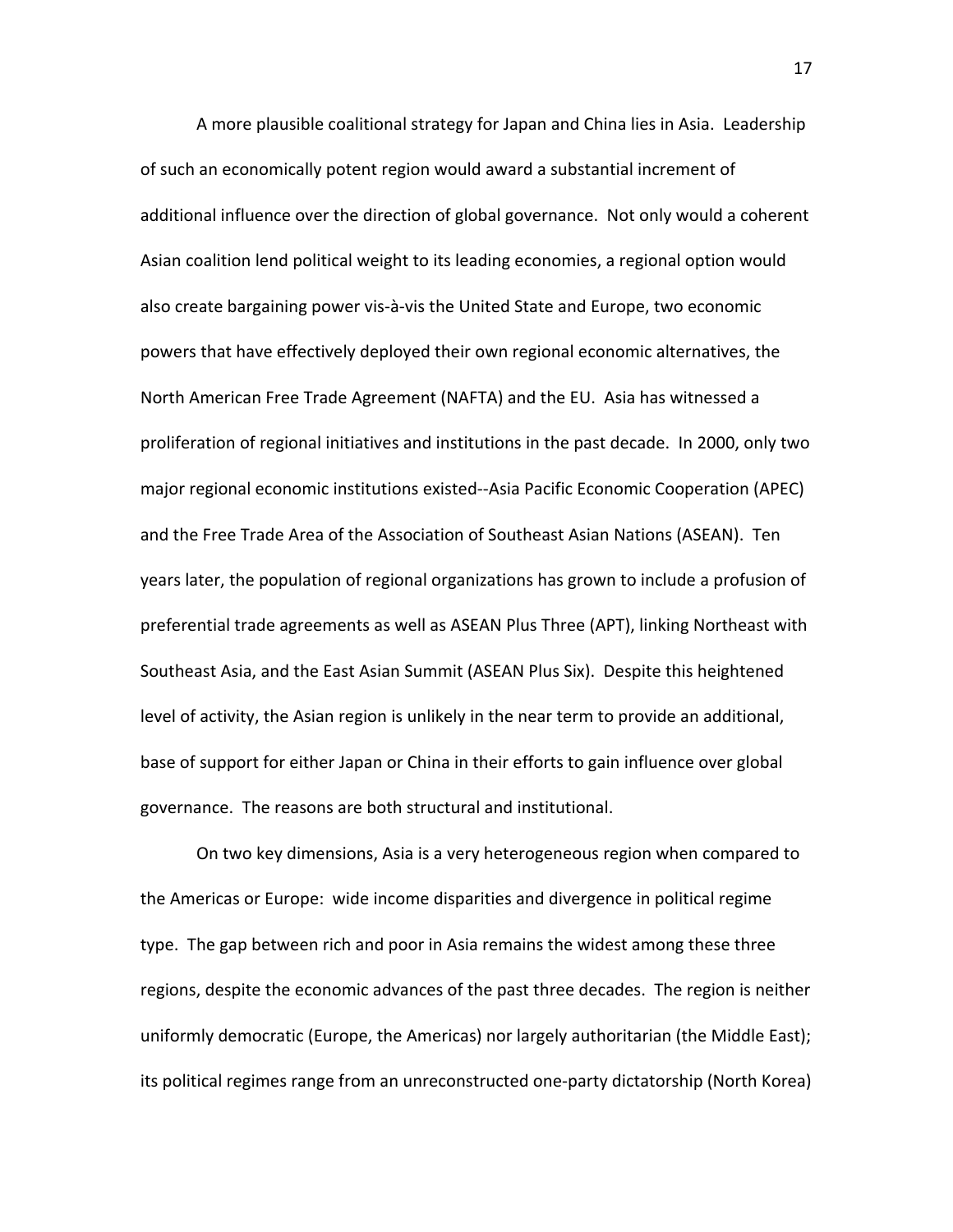A more plausible coalitional strategy for Japan and China lies in Asia. Leadership of such an economically potent region would award a substantial increment of additional influence over the direction of global governance. Not only would a coherent Asian coalition lend political weight to its leading economies, a regional option would also create bargaining power vis‐à‐vis the United State and Europe, two economic powers that have effectively deployed their own regional economic alternatives, the North American Free Trade Agreement (NAFTA) and the EU. Asia has witnessed a proliferation of regional initiatives and institutions in the past decade. In 2000, only two major regional economic institutions existed‐‐Asia Pacific Economic Cooperation (APEC) and the Free Trade Area of the Association of Southeast Asian Nations (ASEAN). Ten years later, the population of regional organizations has grown to include a profusion of preferential trade agreements as well as ASEAN Plus Three (APT), linking Northeast with Southeast Asia, and the East Asian Summit (ASEAN Plus Six). Despite this heightened level of activity, the Asian region is unlikely in the near term to provide an additional, base of support for either Japan or China in their efforts to gain influence over global governance. The reasons are both structural and institutional.

On two key dimensions, Asia is a very heterogeneous region when compared to the Americas or Europe: wide income disparities and divergence in political regime type. The gap between rich and poor in Asia remains the widest among these three regions, despite the economic advances of the past three decades. The region is neither uniformly democratic (Europe, the Americas) nor largely authoritarian (the Middle East); its political regimes range from an unreconstructed one‐party dictatorship (North Korea)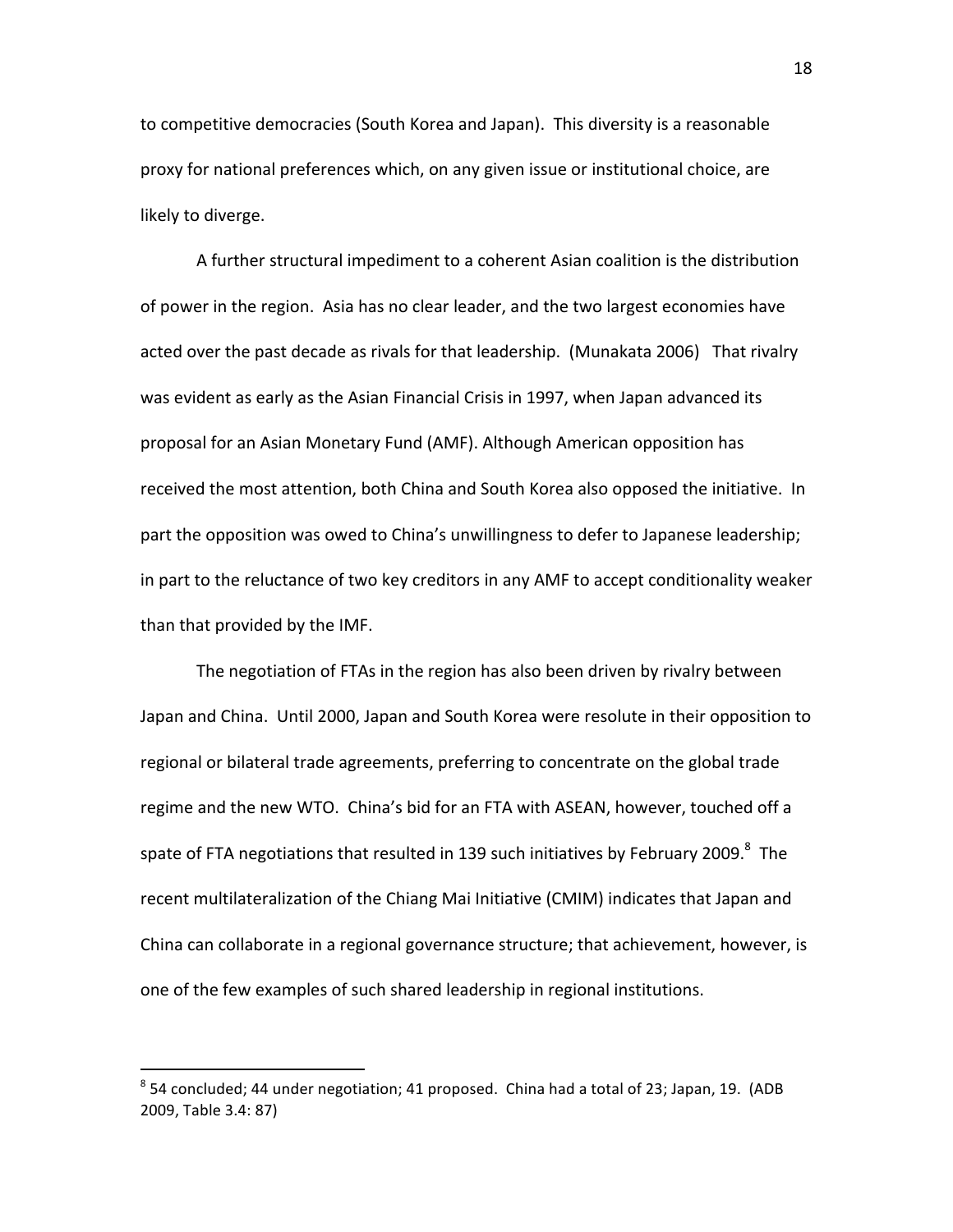to competitive democracies (South Korea and Japan). This diversity is a reasonable proxy for national preferences which, on any given issue or institutional choice, are likely to diverge.

A further structural impediment to a coherent Asian coalition is the distribution of power in the region. Asia has no clear leader, and the two largest economies have acted over the past decade as rivals for that leadership. (Munakata 2006) That rivalry was evident as early as the Asian Financial Crisis in 1997, when Japan advanced its proposal for an Asian Monetary Fund (AMF). Although American opposition has received the most attention, both China and South Korea also opposed the initiative. In part the opposition was owed to China's unwillingness to defer to Japanese leadership; in part to the reluctance of two key creditors in any AMF to accept conditionality weaker than that provided by the IMF.

The negotiation of FTAs in the region has also been driven by rivalry between Japan and China. Until 2000, Japan and South Korea were resolute in their opposition to regional or bilateral trade agreements, preferring to concentrate on the global trade regime and the new WTO. China's bid for an FTA with ASEAN, however, touched off a spate of FTA negotiations that resulted in 139 such initiatives by February 2009. $^8$  The recent multilateralization of the Chiang Mai Initiative (CMIM) indicates that Japan and China can collaborate in a regional governance structure; that achievement, however, is one of the few examples of such shared leadership in regional institutions.

 $^8$  54 concluded; 44 under negotiation; 41 proposed. China had a total of 23; Japan, 19. (ADB 2009, Table 3.4: 87)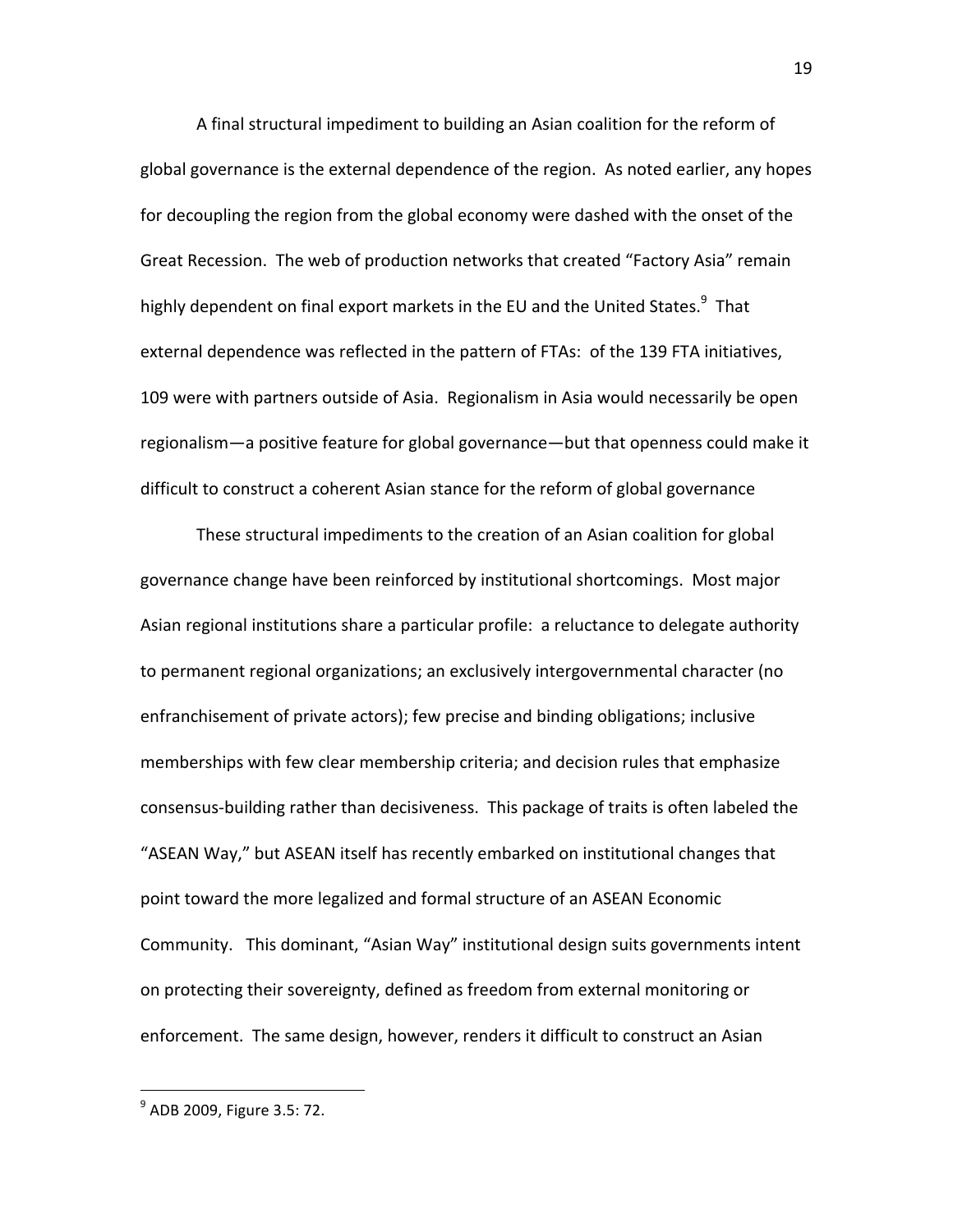A final structural impediment to building an Asian coalition for the reform of global governance is the external dependence of the region. As noted earlier, any hopes for decoupling the region from the global economy were dashed with the onset of the Great Recession. The web of production networks that created "Factory Asia" remain highly dependent on final export markets in the EU and the United States.<sup>9</sup> That external dependence was reflected in the pattern of FTAs: of the 139 FTA initiatives, 109 were with partners outside of Asia. Regionalism in Asia would necessarily be open regionalism—a positive feature for global governance—but that openness could make it difficult to construct a coherent Asian stance for the reform of global governance

These structural impediments to the creation of an Asian coalition for global governance change have been reinforced by institutional shortcomings. Most major Asian regional institutions share a particular profile: a reluctance to delegate authority to permanent regional organizations; an exclusively intergovernmental character (no enfranchisement of private actors); few precise and binding obligations; inclusive memberships with few clear membership criteria; and decision rules that emphasize consensus‐building rather than decisiveness. This package of traits is often labeled the "ASEAN Way," but ASEAN itself has recently embarked on institutional changes that point toward the more legalized and formal structure of an ASEAN Economic Community. This dominant, "Asian Way" institutional design suits governments intent on protecting their sovereignty, defined as freedom from external monitoring or enforcement. The same design, however, renders it difficult to construct an Asian

<sup>&</sup>lt;sup>9</sup> ADB 2009, Figure 3.5: 72.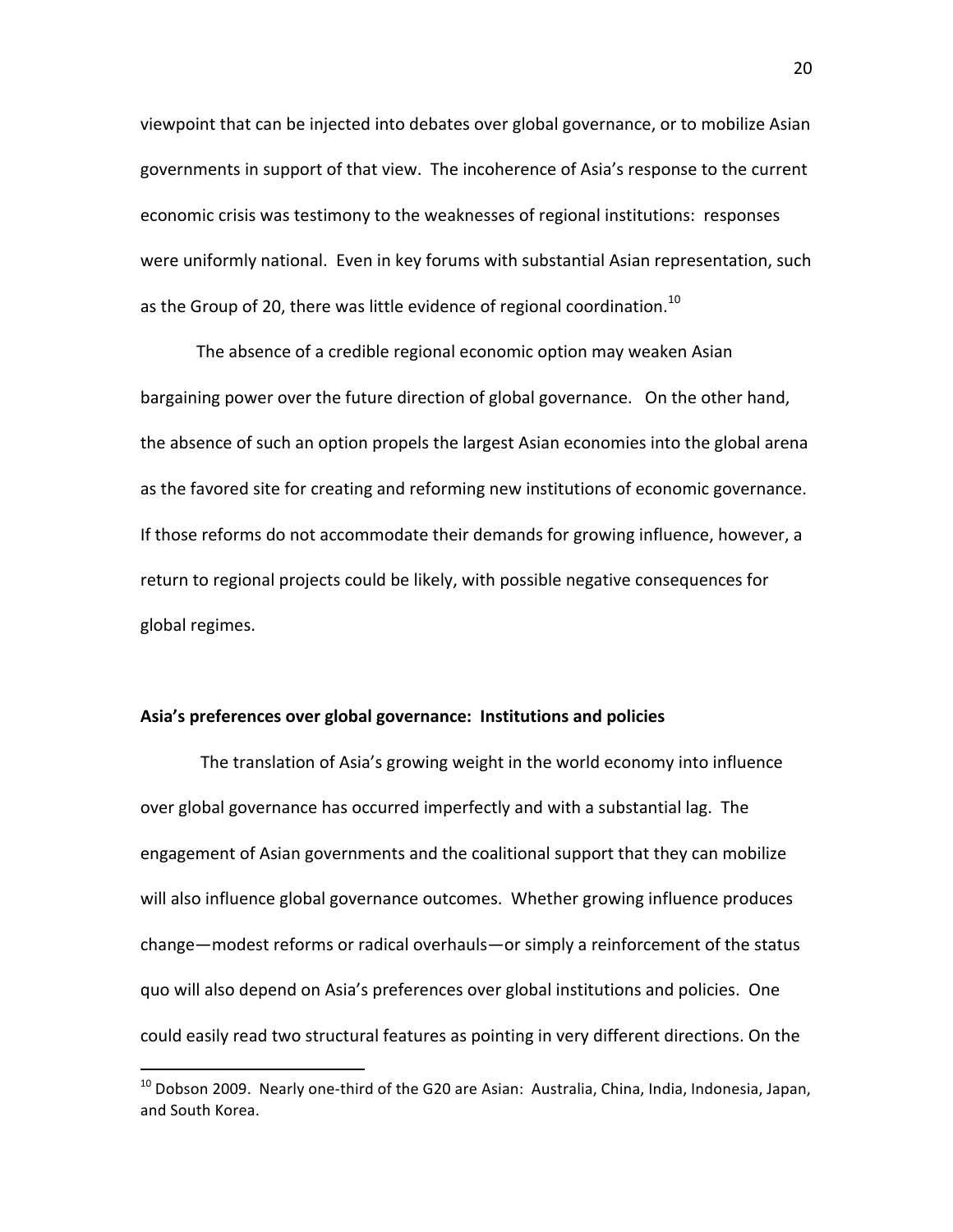viewpoint that can be injected into debates over global governance, or to mobilize Asian governments in support of that view. The incoherence of Asia's response to the current economic crisis was testimony to the weaknesses of regional institutions: responses were uniformly national. Even in key forums with substantial Asian representation, such as the Group of 20, there was little evidence of regional coordination.<sup>10</sup>

The absence of a credible regional economic option may weaken Asian bargaining power over the future direction of global governance. On the other hand, the absence of such an option propels the largest Asian economies into the global arena as the favored site for creating and reforming new institutions of economic governance. If those reforms do not accommodate their demands for growing influence, however, a return to regional projects could be likely, with possible negative consequences for global regimes.

#### **Asia's preferences over global governance: Institutions and policies**

The translation of Asia's growing weight in the world economy into influence over global governance has occurred imperfectly and with a substantial lag. The engagement of Asian governments and the coalitional support that they can mobilize will also influence global governance outcomes. Whether growing influence produces change—modest reforms or radical overhauls—or simply a reinforcement of the status quo will also depend on Asia's preferences over global institutions and policies. One could easily read two structural features as pointing in very different directions. On the

<sup>&</sup>lt;sup>10</sup> Dobson 2009. Nearly one-third of the G20 are Asian: Australia, China, India, Indonesia, Japan, and South Korea.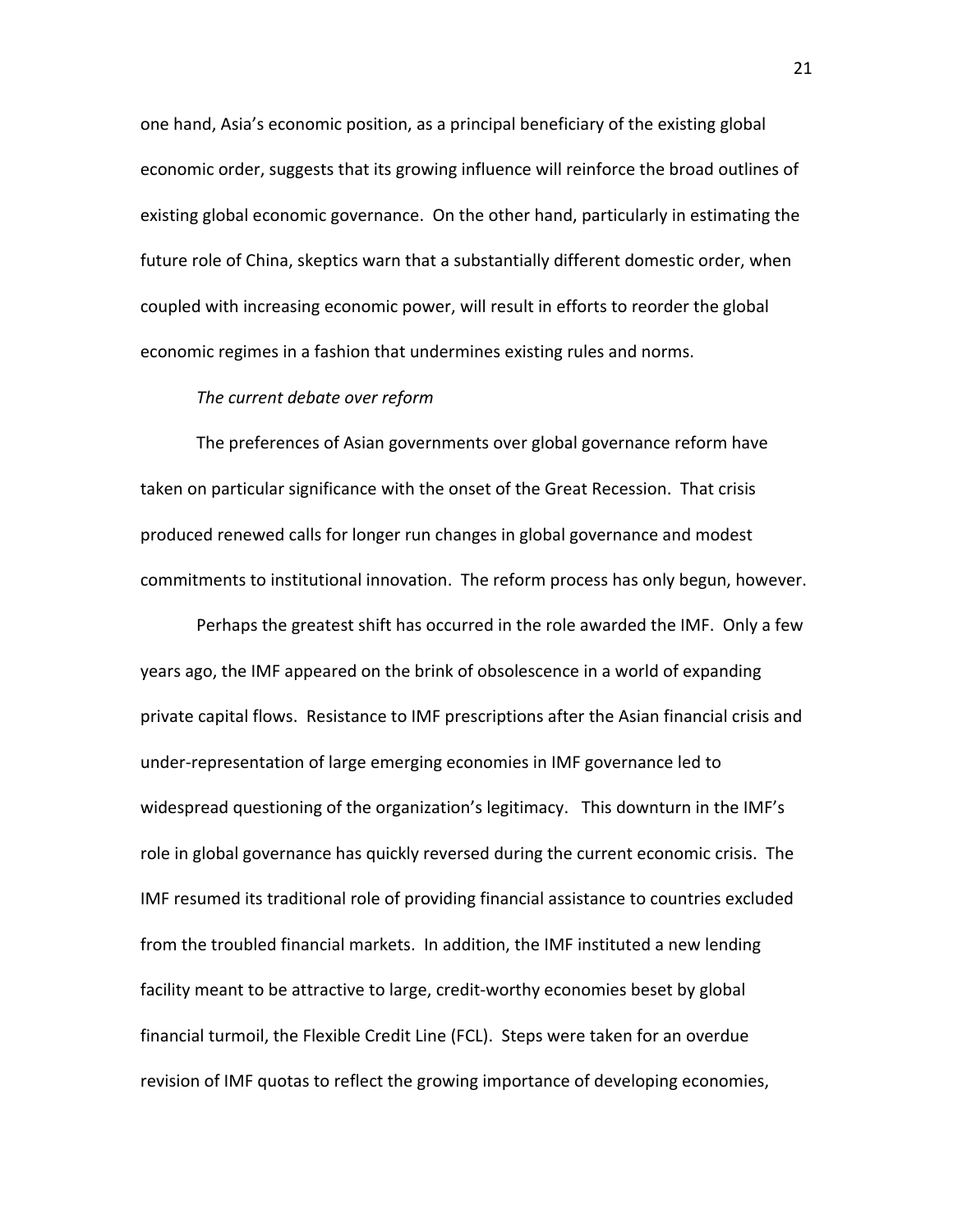one hand, Asia's economic position, as a principal beneficiary of the existing global economic order, suggests that its growing influence will reinforce the broad outlines of existing global economic governance. On the other hand, particularly in estimating the future role of China, skeptics warn that a substantially different domestic order, when coupled with increasing economic power, will result in efforts to reorder the global economic regimes in a fashion that undermines existing rules and norms.

#### *The current debate over reform*

The preferences of Asian governments over global governance reform have taken on particular significance with the onset of the Great Recession. That crisis produced renewed calls for longer run changes in global governance and modest commitments to institutional innovation. The reform process has only begun, however.

Perhaps the greatest shift has occurred in the role awarded the IMF. Only a few years ago, the IMF appeared on the brink of obsolescence in a world of expanding private capital flows. Resistance to IMF prescriptions after the Asian financial crisis and under‐representation of large emerging economies in IMF governance led to widespread questioning of the organization's legitimacy. This downturn in the IMF's role in global governance has quickly reversed during the current economic crisis. The IMF resumed its traditional role of providing financial assistance to countries excluded from the troubled financial markets. In addition, the IMF instituted a new lending facility meant to be attractive to large, credit‐worthy economies beset by global financial turmoil, the Flexible Credit Line (FCL). Steps were taken for an overdue revision of IMF quotas to reflect the growing importance of developing economies,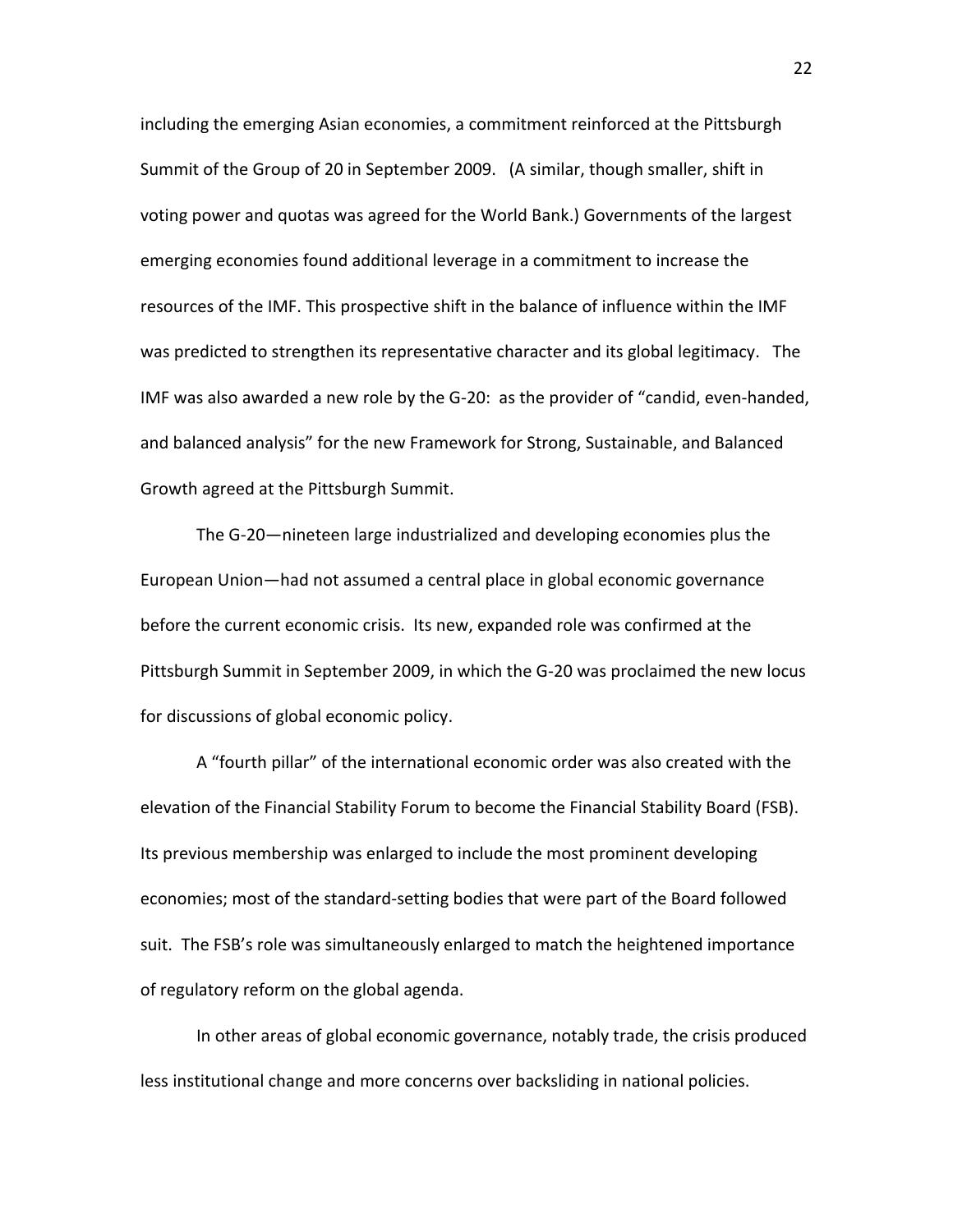including the emerging Asian economies, a commitment reinforced at the Pittsburgh Summit of the Group of 20 in September 2009. (A similar, though smaller, shift in voting power and quotas was agreed for the World Bank.) Governments of the largest emerging economies found additional leverage in a commitment to increase the resources of the IMF. This prospective shift in the balance of influence within the IMF was predicted to strengthen its representative character and its global legitimacy. The IMF was also awarded a new role by the G‐20: as the provider of "candid, even‐handed, and balanced analysis" for the new Framework for Strong, Sustainable, and Balanced Growth agreed at the Pittsburgh Summit.

The G‐20—nineteen large industrialized and developing economies plus the European Union—had not assumed a central place in global economic governance before the current economic crisis. Its new, expanded role was confirmed at the Pittsburgh Summit in September 2009, in which the G‐20 was proclaimed the new locus for discussions of global economic policy.

A "fourth pillar" of the international economic order was also created with the elevation of the Financial Stability Forum to become the Financial Stability Board (FSB). Its previous membership was enlarged to include the most prominent developing economies; most of the standard‐setting bodies that were part of the Board followed suit. The FSB's role was simultaneously enlarged to match the heightened importance of regulatory reform on the global agenda.

In other areas of global economic governance, notably trade, the crisis produced less institutional change and more concerns over backsliding in national policies.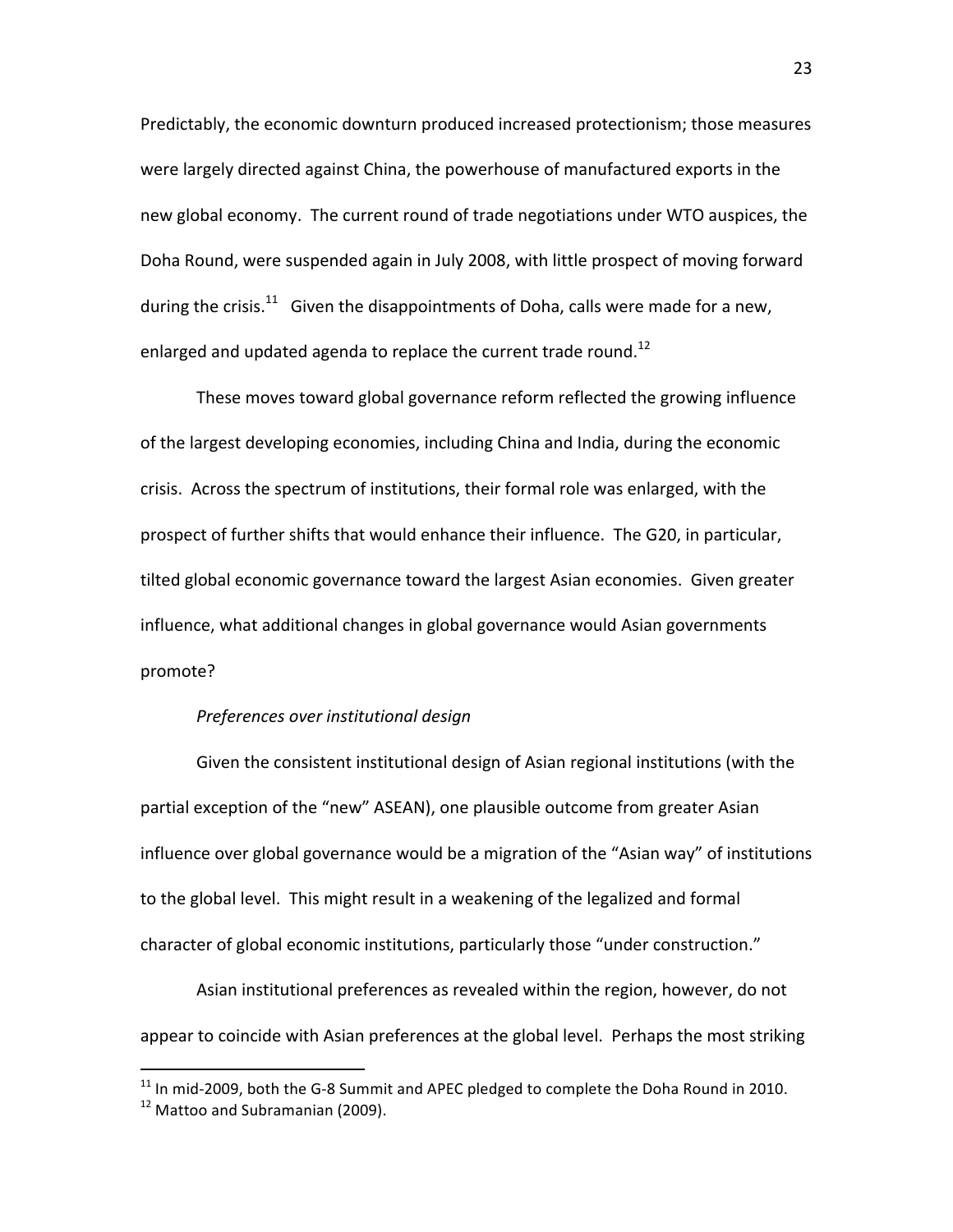Predictably, the economic downturn produced increased protectionism; those measures were largely directed against China, the powerhouse of manufactured exports in the new global economy. The current round of trade negotiations under WTO auspices, the Doha Round, were suspended again in July 2008, with little prospect of moving forward during the crisis.<sup>11</sup> Given the disappointments of Doha, calls were made for a new, enlarged and updated agenda to replace the current trade round.<sup>12</sup>

These moves toward global governance reform reflected the growing influence of the largest developing economies, including China and India, during the economic crisis. Across the spectrum of institutions, their formal role was enlarged, with the prospect of further shifts that would enhance their influence. The G20, in particular, tilted global economic governance toward the largest Asian economies. Given greater influence, what additional changes in global governance would Asian governments promote?

## *Preferences over institutional design*

Given the consistent institutional design of Asian regional institutions (with the partial exception of the "new" ASEAN), one plausible outcome from greater Asian influence over global governance would be a migration of the "Asian way" of institutions to the global level. This might result in a weakening of the legalized and formal character of global economic institutions, particularly those "under construction."

Asian institutional preferences as revealed within the region, however, do not appear to coincide with Asian preferences at the global level. Perhaps the most striking

 $11$  In mid-2009, both the G-8 Summit and APEC pledged to complete the Doha Round in 2010.

<sup>&</sup>lt;sup>12</sup> Mattoo and Subramanian (2009).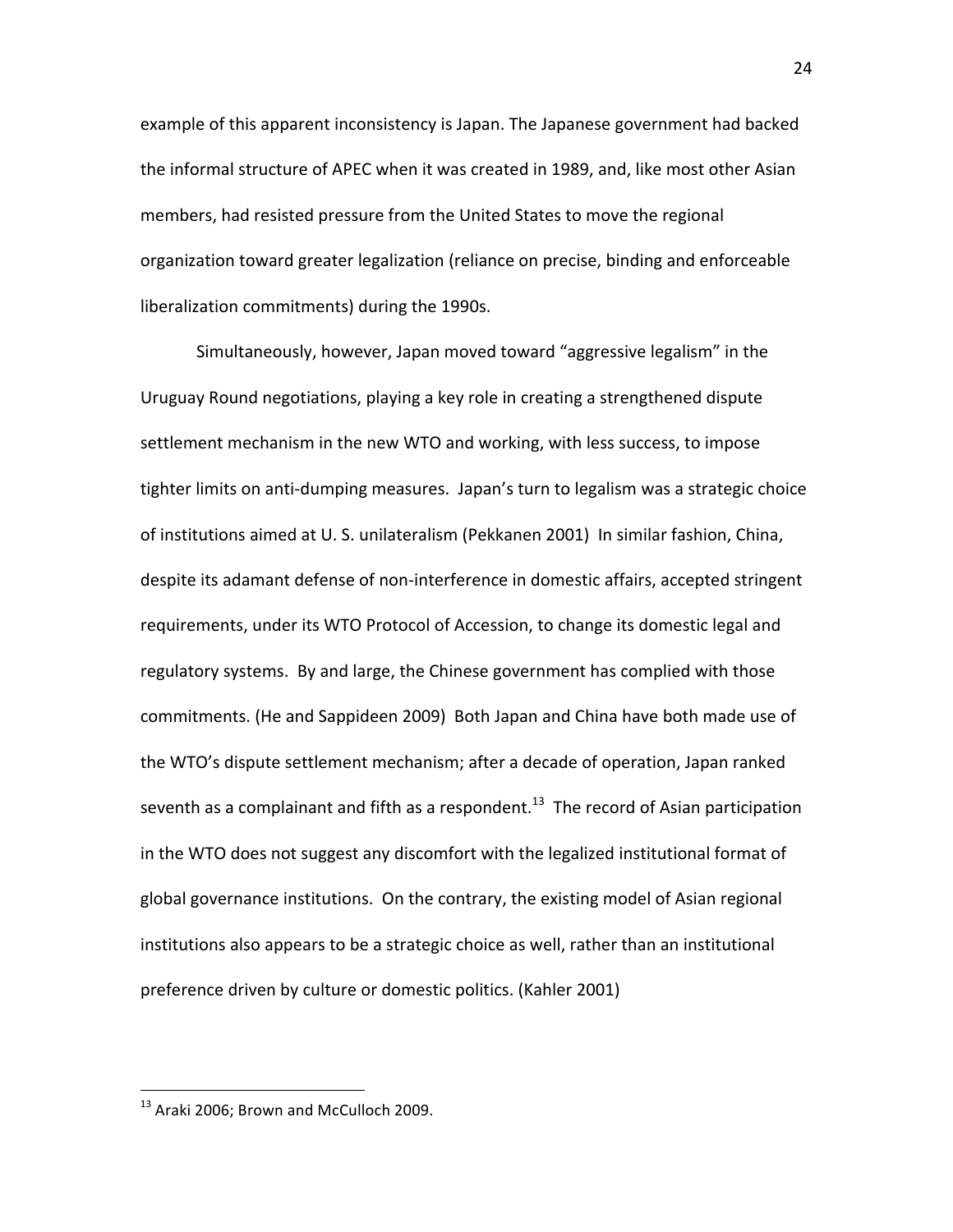example of this apparent inconsistency is Japan. The Japanese government had backed the informal structure of APEC when it was created in 1989, and, like most other Asian members, had resisted pressure from the United States to move the regional organization toward greater legalization (reliance on precise, binding and enforceable liberalization commitments) during the 1990s.

Simultaneously, however, Japan moved toward "aggressive legalism" in the Uruguay Round negotiations, playing a key role in creating a strengthened dispute settlement mechanism in the new WTO and working, with less success, to impose tighter limits on anti‐dumping measures. Japan's turn to legalism was a strategic choice of institutions aimed at U. S. unilateralism (Pekkanen 2001) In similar fashion, China, despite its adamant defense of non‐interference in domestic affairs, accepted stringent requirements, under its WTO Protocol of Accession, to change its domestic legal and regulatory systems. By and large, the Chinese government has complied with those commitments. (He and Sappideen 2009) Both Japan and China have both made use of the WTO's dispute settlement mechanism; after a decade of operation, Japan ranked seventh as a complainant and fifth as a respondent.<sup>13</sup> The record of Asian participation in the WTO does not suggest any discomfort with the legalized institutional format of global governance institutions. On the contrary, the existing model of Asian regional institutions also appears to be a strategic choice as well, rather than an institutional preference driven by culture or domestic politics. (Kahler 2001)

<sup>&</sup>lt;sup>13</sup> Araki 2006; Brown and McCulloch 2009.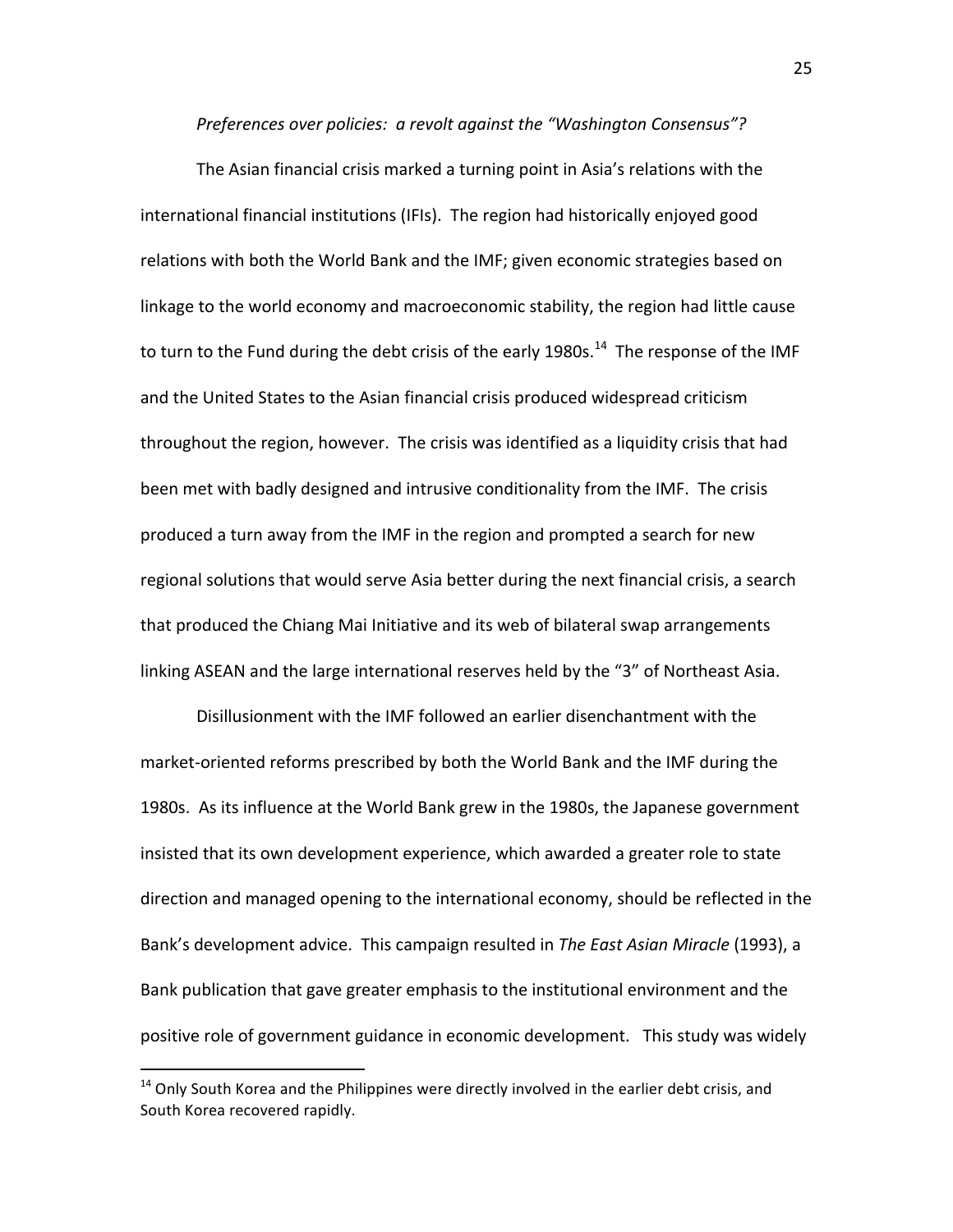*Preferences over policies: a revolt against the "Washington Consensus"?*

The Asian financial crisis marked a turning point in Asia's relations with the international financial institutions (IFIs). The region had historically enjoyed good relations with both the World Bank and the IMF; given economic strategies based on linkage to the world economy and macroeconomic stability, the region had little cause to turn to the Fund during the debt crisis of the early 1980s.<sup>14</sup> The response of the IMF and the United States to the Asian financial crisis produced widespread criticism throughout the region, however. The crisis was identified as a liquidity crisis that had been met with badly designed and intrusive conditionality from the IMF. The crisis produced a turn away from the IMF in the region and prompted a search for new regional solutions that would serve Asia better during the next financial crisis, a search that produced the Chiang Mai Initiative and its web of bilateral swap arrangements linking ASEAN and the large international reserves held by the "3" of Northeast Asia.

Disillusionment with the IMF followed an earlier disenchantment with the market‐oriented reforms prescribed by both the World Bank and the IMF during the 1980s. As its influence at the World Bank grew in the 1980s, the Japanese government insisted that its own development experience, which awarded a greater role to state direction and managed opening to the international economy, should be reflected in the Bank's development advice. This campaign resulted in *The East Asian Miracle* (1993), a Bank publication that gave greater emphasis to the institutional environment and the positive role of government guidance in economic development. This study was widely

<sup>&</sup>lt;sup>14</sup> Only South Korea and the Philippines were directly involved in the earlier debt crisis, and South Korea recovered rapidly.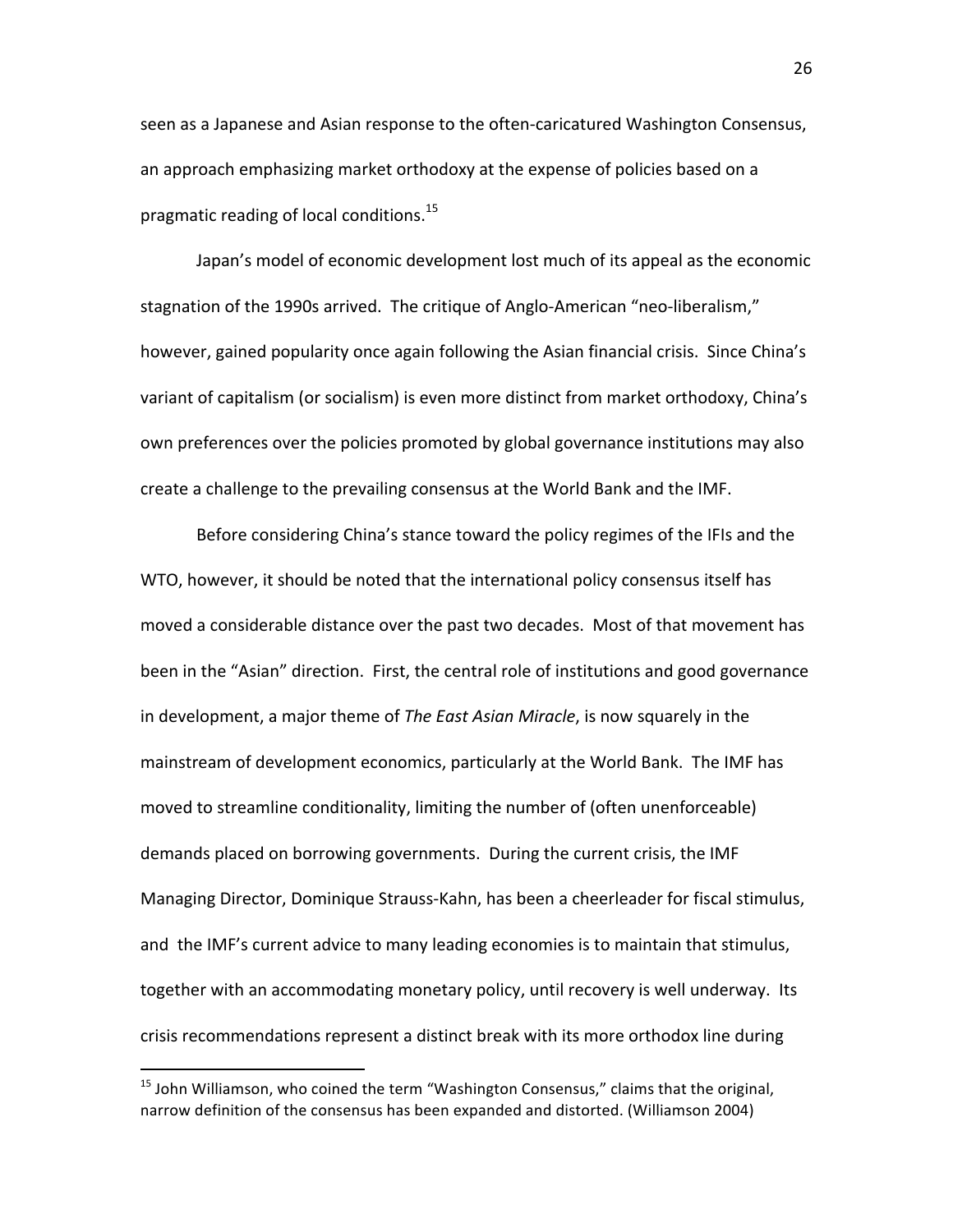seen as a Japanese and Asian response to the often‐caricatured Washington Consensus, an approach emphasizing market orthodoxy at the expense of policies based on a pragmatic reading of local conditions.<sup>15</sup>

Japan's model of economic development lost much of its appeal as the economic stagnation of the 1990s arrived. The critique of Anglo-American "neo-liberalism," however, gained popularity once again following the Asian financial crisis. Since China's variant of capitalism (or socialism) is even more distinct from market orthodoxy, China's own preferences over the policies promoted by global governance institutions may also create a challenge to the prevailing consensus at the World Bank and the IMF.

Before considering China's stance toward the policy regimes of the IFIs and the WTO, however, it should be noted that the international policy consensus itself has moved a considerable distance over the past two decades. Most of that movement has been in the "Asian" direction. First, the central role of institutions and good governance in development, a major theme of *The East Asian Miracle*, is now squarely in the mainstream of development economics, particularly at the World Bank. The IMF has moved to streamline conditionality, limiting the number of (often unenforceable) demands placed on borrowing governments. During the current crisis, the IMF Managing Director, Dominique Strauss‐Kahn, has been a cheerleader for fiscal stimulus, and the IMF's current advice to many leading economies is to maintain that stimulus, together with an accommodating monetary policy, until recovery is well underway. Its crisis recommendations represent a distinct break with its more orthodox line during

 $15$  John Williamson, who coined the term "Washington Consensus," claims that the original, narrow definition of the consensus has been expanded and distorted. (Williamson 2004)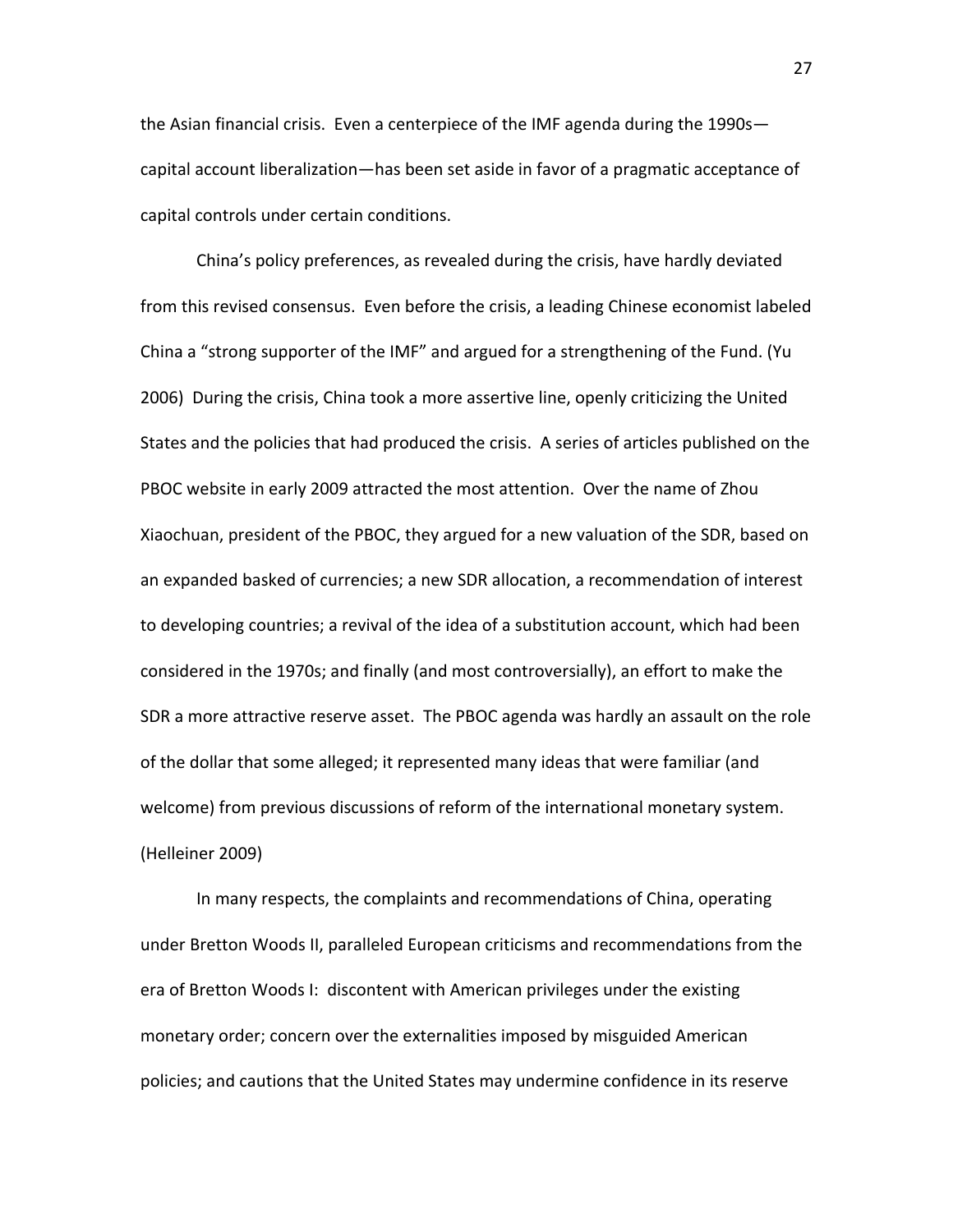the Asian financial crisis. Even a centerpiece of the IMF agenda during the 1990s capital account liberalization—has been set aside in favor of a pragmatic acceptance of capital controls under certain conditions.

China's policy preferences, as revealed during the crisis, have hardly deviated from this revised consensus. Even before the crisis, a leading Chinese economist labeled China a "strong supporter of the IMF" and argued for a strengthening of the Fund. (Yu 2006) During the crisis, China took a more assertive line, openly criticizing the United States and the policies that had produced the crisis. A series of articles published on the PBOC website in early 2009 attracted the most attention. Over the name of Zhou Xiaochuan, president of the PBOC, they argued for a new valuation of the SDR, based on an expanded basked of currencies; a new SDR allocation, a recommendation of interest to developing countries; a revival of the idea of a substitution account, which had been considered in the 1970s; and finally (and most controversially), an effort to make the SDR a more attractive reserve asset. The PBOC agenda was hardly an assault on the role of the dollar that some alleged; it represented many ideas that were familiar (and welcome) from previous discussions of reform of the international monetary system. (Helleiner 2009)

In many respects, the complaints and recommendations of China, operating under Bretton Woods II, paralleled European criticisms and recommendations from the era of Bretton Woods I: discontent with American privileges under the existing monetary order; concern over the externalities imposed by misguided American policies; and cautions that the United States may undermine confidence in its reserve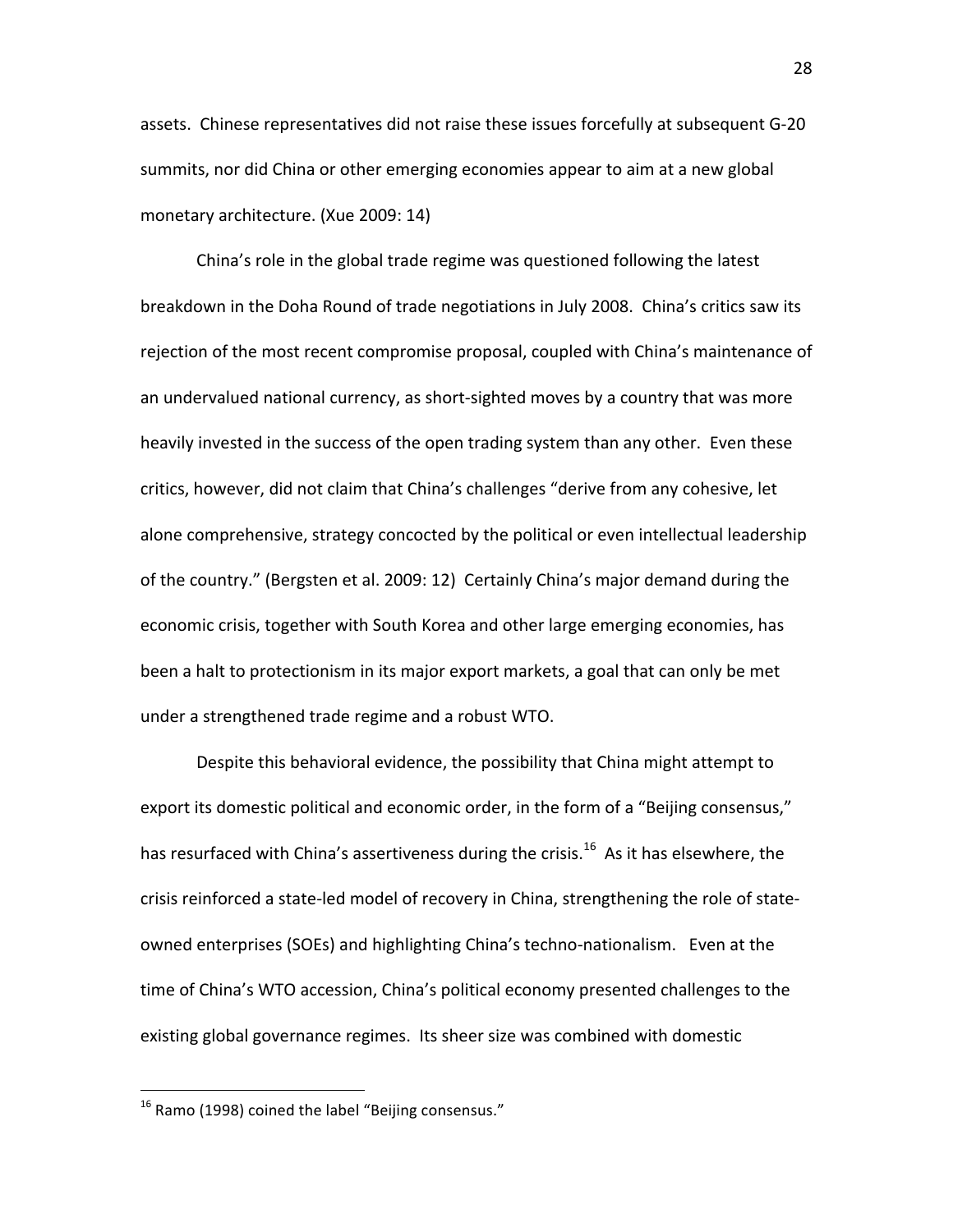assets. Chinese representatives did not raise these issues forcefully at subsequent G‐20 summits, nor did China or other emerging economies appear to aim at a new global monetary architecture. (Xue 2009: 14)

China's role in the global trade regime was questioned following the latest breakdown in the Doha Round of trade negotiations in July 2008. China's critics saw its rejection of the most recent compromise proposal, coupled with China's maintenance of an undervalued national currency, as short‐sighted moves by a country that was more heavily invested in the success of the open trading system than any other. Even these critics, however, did not claim that China's challenges "derive from any cohesive, let alone comprehensive, strategy concocted by the political or even intellectual leadership of the country." (Bergsten et al. 2009: 12) Certainly China's major demand during the economic crisis, together with South Korea and other large emerging economies, has been a halt to protectionism in its major export markets, a goal that can only be met under a strengthened trade regime and a robust WTO.

Despite this behavioral evidence, the possibility that China might attempt to export its domestic political and economic order, in the form of a "Beijing consensus," has resurfaced with China's assertiveness during the crisis.<sup>16</sup> As it has elsewhere, the crisis reinforced a state‐led model of recovery in China, strengthening the role of state‐ owned enterprises (SOEs) and highlighting China's techno‐nationalism. Even at the time of China's WTO accession, China's political economy presented challenges to the existing global governance regimes. Its sheer size was combined with domestic

<sup>&</sup>lt;sup>16</sup> Ramo (1998) coined the label "Beijing consensus."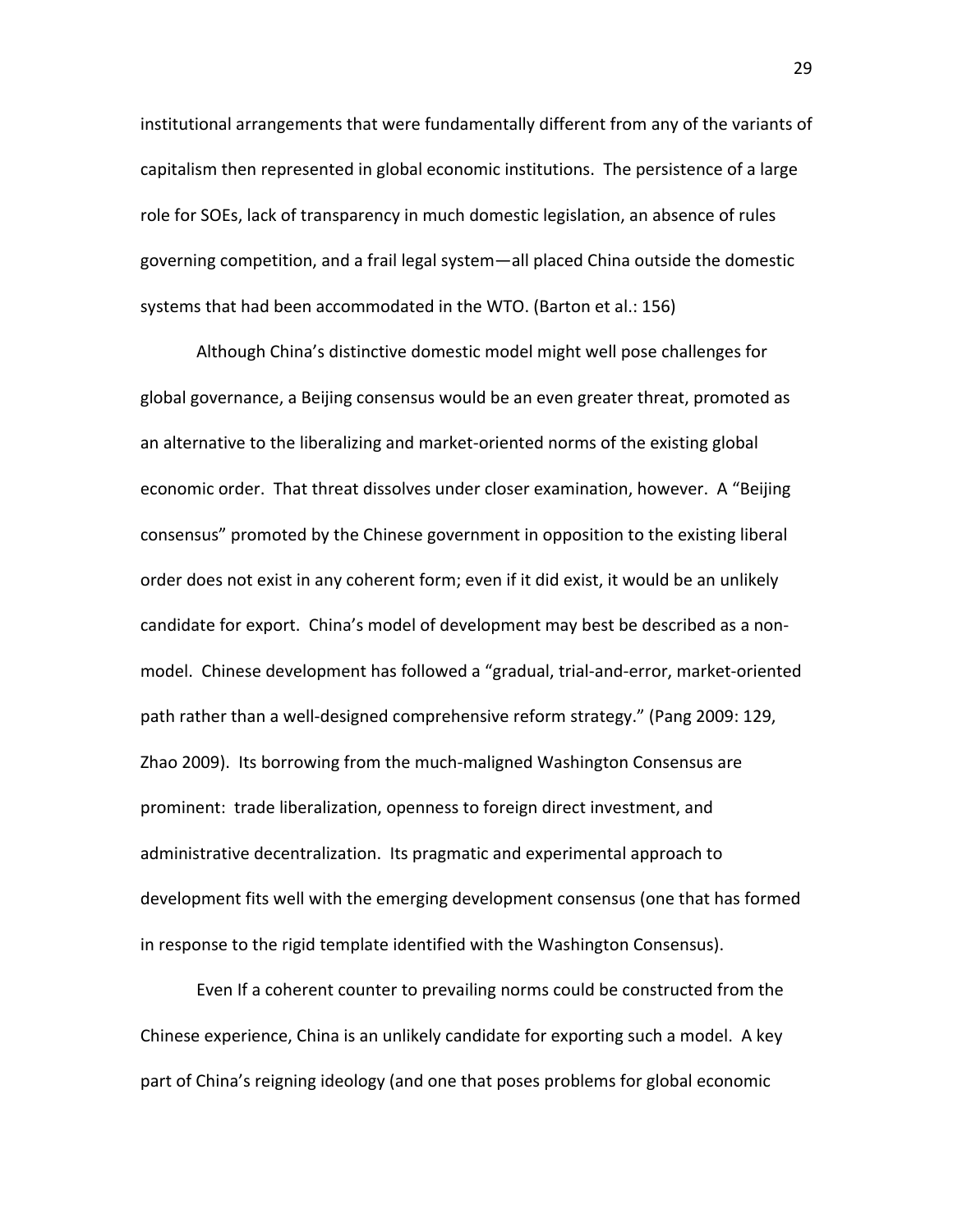institutional arrangements that were fundamentally different from any of the variants of capitalism then represented in global economic institutions. The persistence of a large role for SOEs, lack of transparency in much domestic legislation, an absence of rules governing competition, and a frail legal system—all placed China outside the domestic systems that had been accommodated in the WTO. (Barton et al.: 156)

Although China's distinctive domestic model might well pose challenges for global governance, a Beijing consensus would be an even greater threat, promoted as an alternative to the liberalizing and market-oriented norms of the existing global economic order. That threat dissolves under closer examination, however. A "Beijing consensus" promoted by the Chinese government in opposition to the existing liberal order does not exist in any coherent form; even if it did exist, it would be an unlikely candidate for export. China's model of development may best be described as a non‐ model. Chinese development has followed a "gradual, trial‐and‐error, market‐oriented path rather than a well-designed comprehensive reform strategy." (Pang 2009: 129, Zhao 2009). Its borrowing from the much‐maligned Washington Consensus are prominent: trade liberalization, openness to foreign direct investment, and administrative decentralization. Its pragmatic and experimental approach to development fits well with the emerging development consensus (one that has formed in response to the rigid template identified with the Washington Consensus).

Even If a coherent counter to prevailing norms could be constructed from the Chinese experience, China is an unlikely candidate for exporting such a model. A key part of China's reigning ideology (and one that poses problems for global economic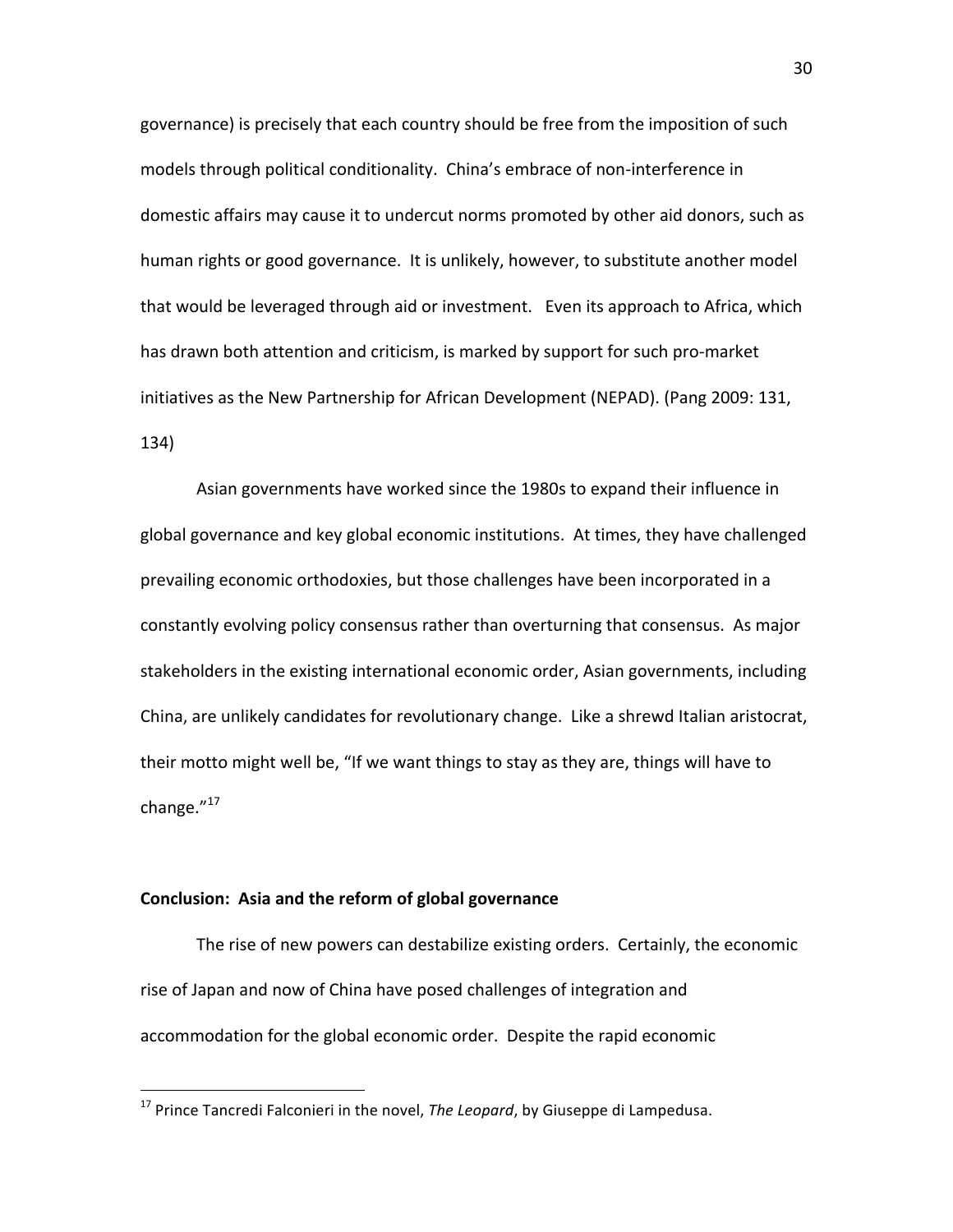governance) is precisely that each country should be free from the imposition of such models through political conditionality. China's embrace of non‐interference in domestic affairs may cause it to undercut norms promoted by other aid donors, such as human rights or good governance. It is unlikely, however, to substitute another model that would be leveraged through aid or investment. Even its approach to Africa, which has drawn both attention and criticism, is marked by support for such pro-market initiatives as the New Partnership for African Development (NEPAD). (Pang 2009: 131, 134)

Asian governments have worked since the 1980s to expand their influence in global governance and key global economic institutions. At times, they have challenged prevailing economic orthodoxies, but those challenges have been incorporated in a constantly evolving policy consensus rather than overturning that consensus. As major stakeholders in the existing international economic order, Asian governments, including China, are unlikely candidates for revolutionary change. Like a shrewd Italian aristocrat, their motto might well be, "If we want things to stay as they are, things will have to change. $^{\prime\prime}$ <sup>17</sup>

## **Conclusion: Asia and the reform of global governance**

The rise of new powers can destabilize existing orders. Certainly, the economic rise of Japan and now of China have posed challenges of integration and accommodation for the global economic order. Despite the rapid economic

<sup>&</sup>lt;sup>17</sup> Prince Tancredi Falconieri in the novel, *The Leopard*, by Giuseppe di Lampedusa.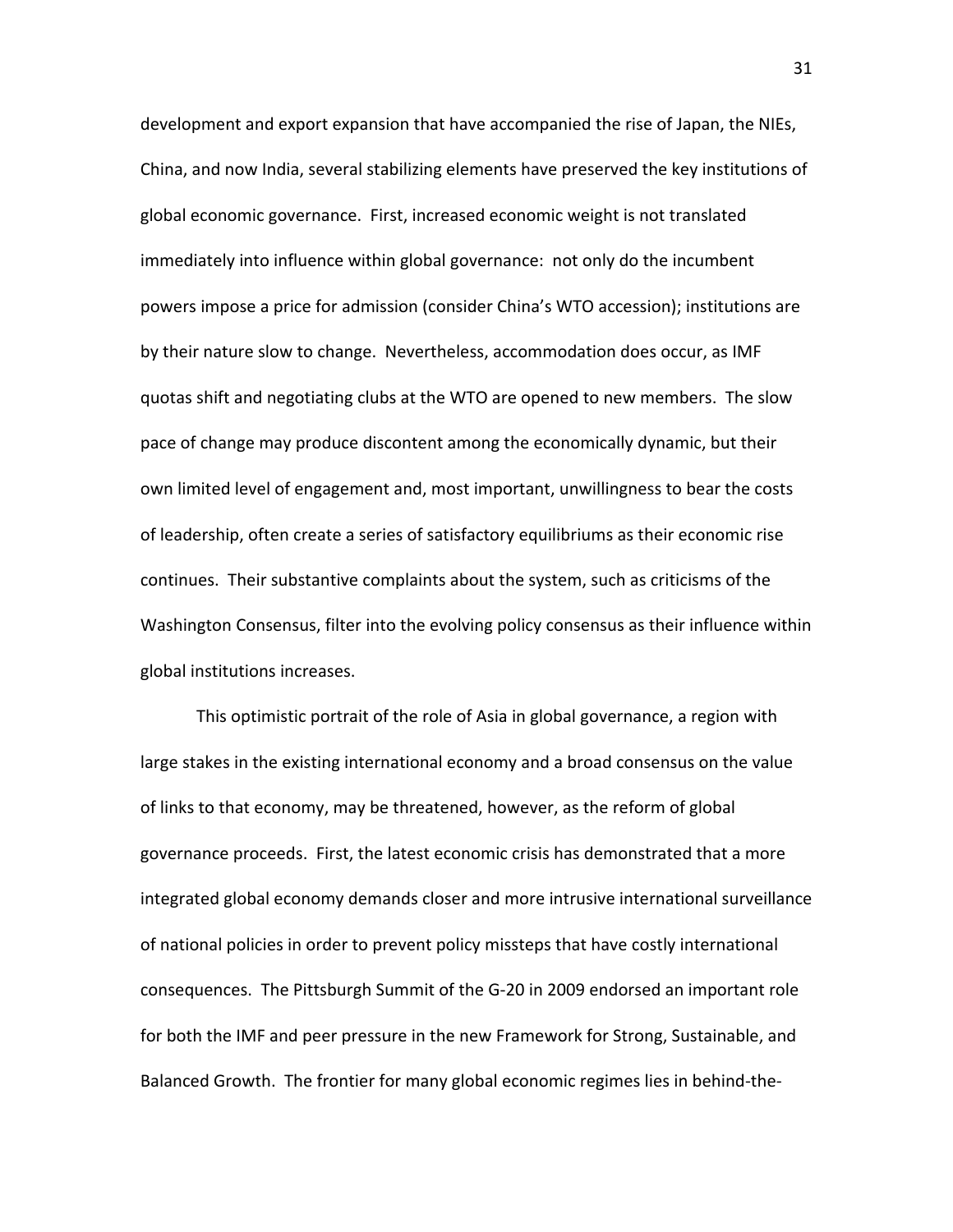development and export expansion that have accompanied the rise of Japan, the NIEs, China, and now India, several stabilizing elements have preserved the key institutions of global economic governance. First, increased economic weight is not translated immediately into influence within global governance: not only do the incumbent powers impose a price for admission (consider China's WTO accession); institutions are by their nature slow to change. Nevertheless, accommodation does occur, as IMF quotas shift and negotiating clubs at the WTO are opened to new members. The slow pace of change may produce discontent among the economically dynamic, but their own limited level of engagement and, most important, unwillingness to bear the costs of leadership, often create a series of satisfactory equilibriums as their economic rise continues. Their substantive complaints about the system, such as criticisms of the Washington Consensus, filter into the evolving policy consensus as their influence within global institutions increases.

This optimistic portrait of the role of Asia in global governance, a region with large stakes in the existing international economy and a broad consensus on the value of links to that economy, may be threatened, however, as the reform of global governance proceeds. First, the latest economic crisis has demonstrated that a more integrated global economy demands closer and more intrusive international surveillance of national policies in order to prevent policy missteps that have costly international consequences. The Pittsburgh Summit of the G‐20 in 2009 endorsed an important role for both the IMF and peer pressure in the new Framework for Strong, Sustainable, and Balanced Growth. The frontier for many global economic regimes lies in behind‐the‐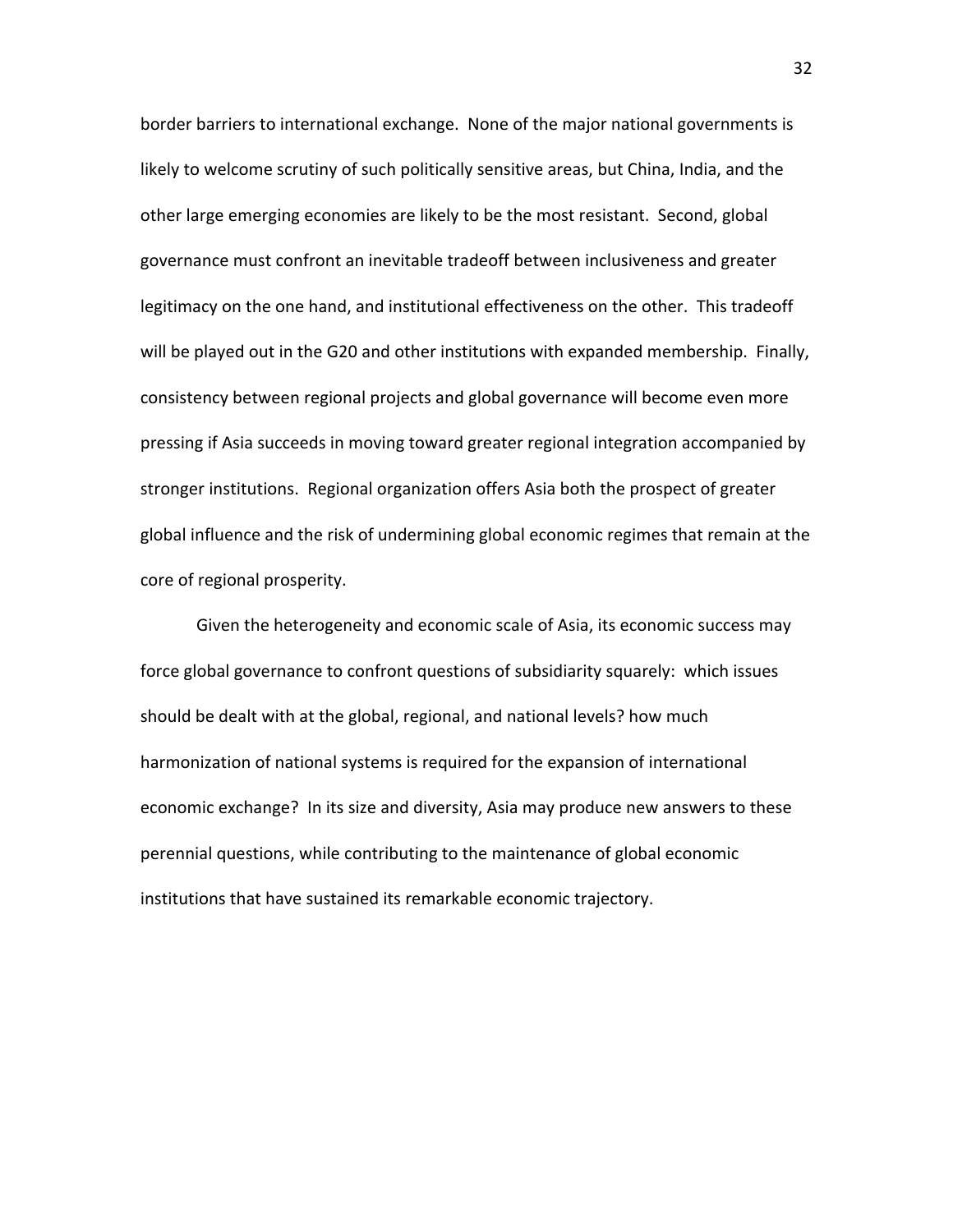border barriers to international exchange. None of the major national governments is likely to welcome scrutiny of such politically sensitive areas, but China, India, and the other large emerging economies are likely to be the most resistant. Second, global governance must confront an inevitable tradeoff between inclusiveness and greater legitimacy on the one hand, and institutional effectiveness on the other. This tradeoff will be played out in the G20 and other institutions with expanded membership. Finally, consistency between regional projects and global governance will become even more pressing if Asia succeeds in moving toward greater regional integration accompanied by stronger institutions. Regional organization offers Asia both the prospect of greater global influence and the risk of undermining global economic regimes that remain at the core of regional prosperity.

Given the heterogeneity and economic scale of Asia, its economic success may force global governance to confront questions of subsidiarity squarely: which issues should be dealt with at the global, regional, and national levels? how much harmonization of national systems is required for the expansion of international economic exchange? In its size and diversity, Asia may produce new answers to these perennial questions, while contributing to the maintenance of global economic institutions that have sustained its remarkable economic trajectory.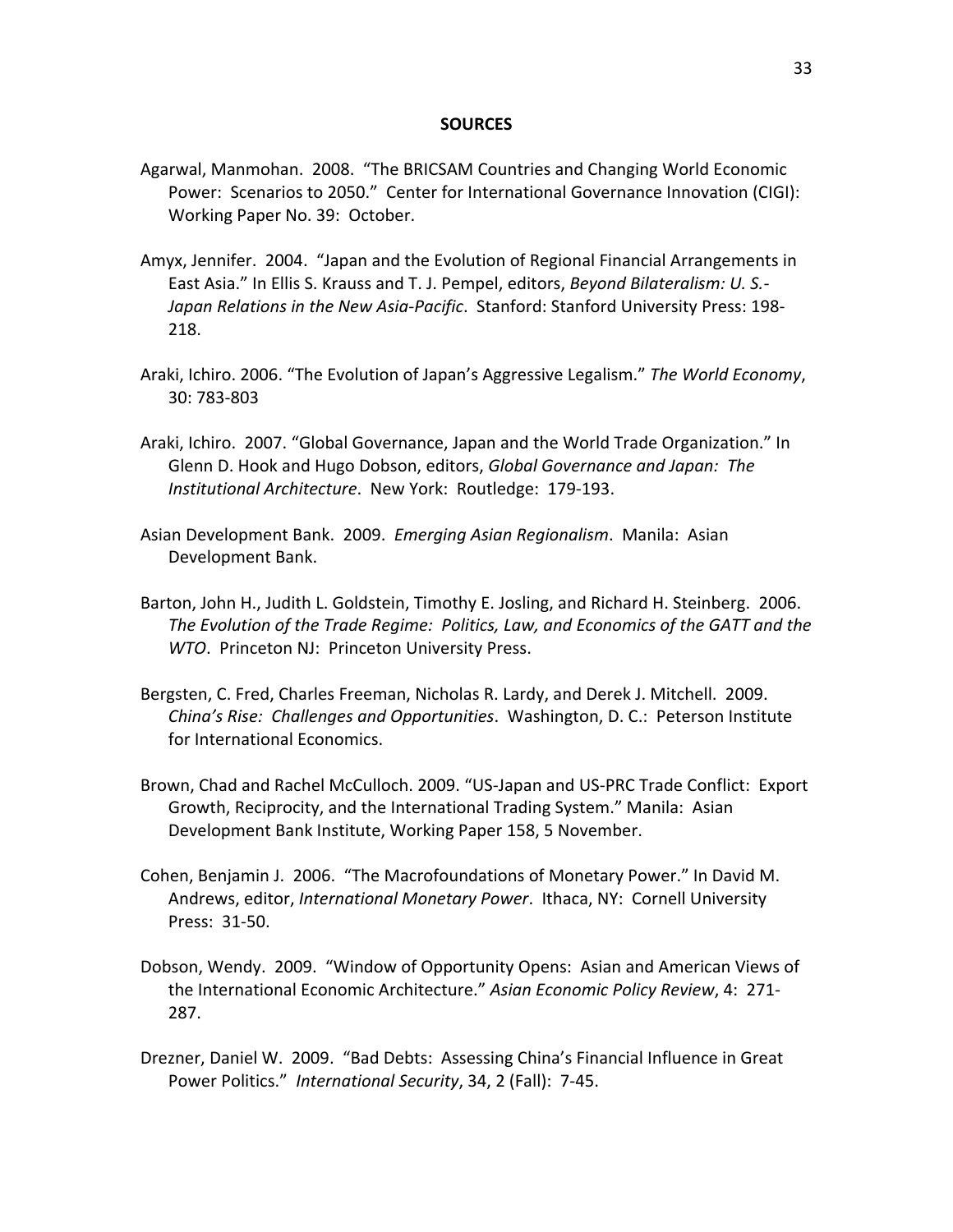#### **SOURCES**

- Agarwal, Manmohan. 2008. "The BRICSAM Countries and Changing World Economic Power: Scenarios to 2050." Center for International Governance Innovation (CIGI): Working Paper No. 39: October.
- Amyx, Jennifer. 2004. "Japan and the Evolution of Regional Financial Arrangements in East Asia." In Ellis S. Krauss and T. J. Pempel, editors, *Beyond Bilateralism: U. S.‐ Japan Relations in the New Asia‐Pacific*. Stanford: Stanford University Press: 198‐ 218.
- Araki, Ichiro. 2006. "The Evolution of Japan's Aggressive Legalism." *The World Economy*, 30: 783‐803
- Araki, Ichiro. 2007. "Global Governance, Japan and the World Trade Organization." In Glenn D. Hook and Hugo Dobson, editors, *Global Governance and Japan: The Institutional Architecture*. New York: Routledge: 179‐193.
- Asian Development Bank. 2009. *Emerging Asian Regionalism*. Manila: Asian Development Bank.
- Barton, John H., Judith L. Goldstein, Timothy E. Josling, and Richard H. Steinberg. 2006. *The Evolution of the Trade Regime: Politics, Law, and Economics of the GATT and the WTO*. Princeton NJ: Princeton University Press.
- Bergsten, C. Fred, Charles Freeman, Nicholas R. Lardy, and Derek J. Mitchell. 2009. *China's Rise: Challenges and Opportunities*. Washington, D. C.: Peterson Institute for International Economics.
- Brown, Chad and Rachel McCulloch. 2009. "US‐Japan and US‐PRC Trade Conflict: Export Growth, Reciprocity, and the International Trading System." Manila: Asian Development Bank Institute, Working Paper 158, 5 November.
- Cohen, Benjamin J. 2006. "The Macrofoundations of Monetary Power." In David M. Andrews, editor, *International Monetary Power*. Ithaca, NY: Cornell University Press: 31‐50.
- Dobson, Wendy. 2009. "Window of Opportunity Opens: Asian and American Views of the International Economic Architecture." *Asian Economic Policy Review*, 4: 271‐ 287.
- Drezner, Daniel W. 2009. "Bad Debts: Assessing China's Financial Influence in Great Power Politics." *International Security*, 34, 2 (Fall): 7‐45.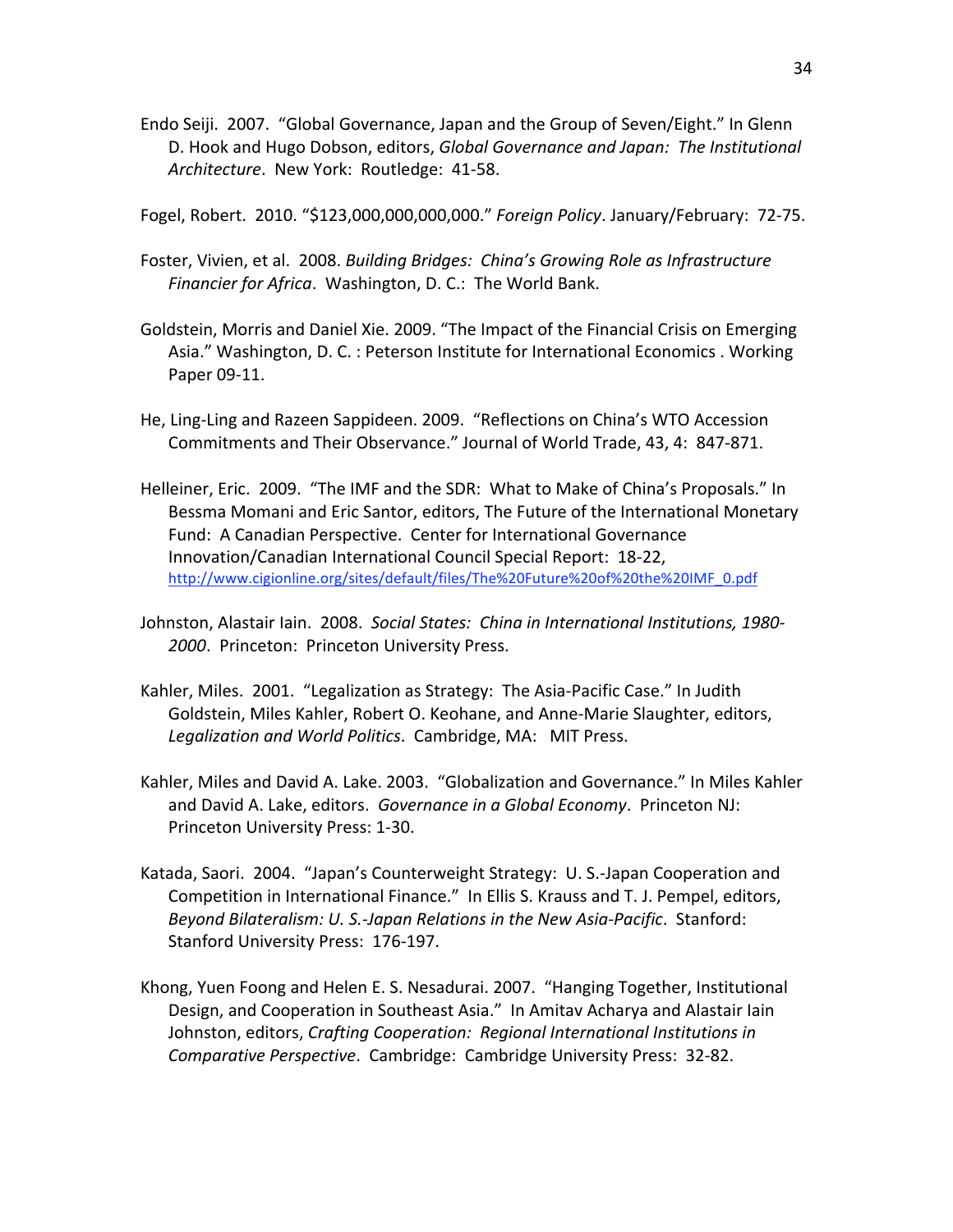Endo Seiji. 2007. "Global Governance, Japan and the Group of Seven/Eight." In Glenn D. Hook and Hugo Dobson, editors, *Global Governance and Japan: The Institutional Architecture*. New York: Routledge: 41‐58.

Fogel, Robert. 2010. "\$123,000,000,000,000." *Foreign Policy*. January/February: 72‐75.

- Foster, Vivien, et al. 2008. *Building Bridges: China's Growing Role as Infrastructure Financier for Africa*. Washington, D. C.: The World Bank.
- Goldstein, Morris and Daniel Xie. 2009. "The Impact of the Financial Crisis on Emerging Asia." Washington, D. C. : Peterson Institute for International Economics . Working Paper 09‐11.
- He, Ling‐Ling and Razeen Sappideen. 2009. "Reflections on China's WTO Accession Commitments and Their Observance." Journal of World Trade, 43, 4: 847‐871.
- Helleiner, Eric. 2009. "The IMF and the SDR: What to Make of China's Proposals." In Bessma Momani and Eric Santor, editors, The Future of the International Monetary Fund: A Canadian Perspective. Center for International Governance Innovation/Canadian International Council Special Report: 18‐22, http://www.cigionline.org/sites/default/files/The%20Future%20of%20the%20IMF\_0.pdf
- Johnston, Alastair Iain. 2008. *Social States: China in International Institutions, 1980‐ 2000*. Princeton: Princeton University Press.
- Kahler, Miles. 2001. "Legalization as Strategy: The Asia‐Pacific Case." In Judith Goldstein, Miles Kahler, Robert O. Keohane, and Anne‐Marie Slaughter, editors, *Legalization and World Politics*. Cambridge, MA: MIT Press.
- Kahler, Miles and David A. Lake. 2003. "Globalization and Governance." In Miles Kahler and David A. Lake, editors. *Governance in a Global Economy*. Princeton NJ: Princeton University Press: 1‐30.
- Katada, Saori. 2004. "Japan's Counterweight Strategy: U. S.‐Japan Cooperation and Competition in International Finance." In Ellis S. Krauss and T. J. Pempel, editors, *Beyond Bilateralism: U. S.‐Japan Relations in the New Asia‐Pacific*. Stanford: Stanford University Press: 176‐197.
- Khong, Yuen Foong and Helen E. S. Nesadurai. 2007. "Hanging Together, Institutional Design, and Cooperation in Southeast Asia." In Amitav Acharya and Alastair Iain Johnston, editors, *Crafting Cooperation: Regional International Institutions in Comparative Perspective*. Cambridge: Cambridge University Press: 32‐82.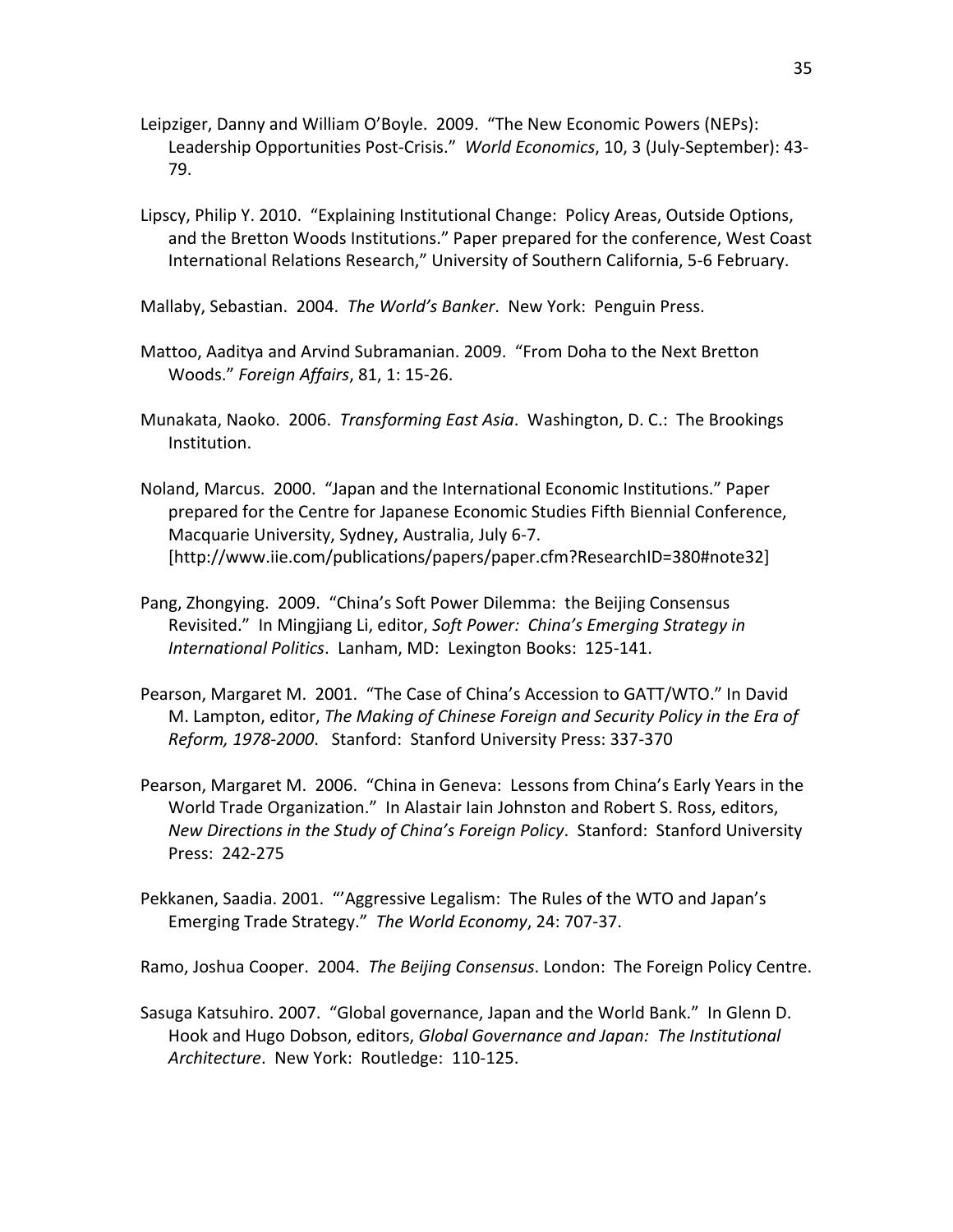- Leipziger, Danny and William O'Boyle. 2009. "The New Economic Powers (NEPs): Leadership Opportunities Post‐Crisis." *World Economics*, 10, 3 (July‐September): 43‐ 79.
- Lipscy, Philip Y. 2010. "Explaining Institutional Change: Policy Areas, Outside Options, and the Bretton Woods Institutions." Paper prepared for the conference, West Coast International Relations Research," University of Southern California, 5‐6 February.

Mallaby, Sebastian. 2004. *The World's Banker*. New York: Penguin Press.

- Mattoo, Aaditya and Arvind Subramanian. 2009. "From Doha to the Next Bretton Woods." *Foreign Affairs*, 81, 1: 15‐26.
- Munakata, Naoko. 2006. *Transforming East Asia*. Washington, D. C.: The Brookings Institution.
- Noland, Marcus. 2000. "Japan and the International Economic Institutions." Paper prepared for the Centre for Japanese Economic Studies Fifth Biennial Conference, Macquarie University, Sydney, Australia, July 6‐7. [http://www.iie.com/publications/papers/paper.cfm?ResearchID=380#note32]
- Pang, Zhongying. 2009. "China's Soft Power Dilemma: the Beijing Consensus Revisited." In Mingjiang Li, editor, *Soft Power: China's Emerging Strategy in International Politics*. Lanham, MD: Lexington Books: 125‐141.
- Pearson, Margaret M. 2001. "The Case of China's Accession to GATT/WTO." In David M. Lampton, editor, *The Making of Chinese Foreign and Security Policy in the Era of Reform, 1978‐2000*. Stanford: Stanford University Press: 337‐370
- Pearson, Margaret M. 2006. "China in Geneva: Lessons from China's Early Years in the World Trade Organization." In Alastair Iain Johnston and Robert S. Ross, editors, *New Directions in the Study of China's Foreign Policy*. Stanford: Stanford University Press: 242‐275
- Pekkanen, Saadia. 2001. "'Aggressive Legalism: The Rules of the WTO and Japan's Emerging Trade Strategy." *The World Economy*, 24: 707‐37.

Ramo, Joshua Cooper. 2004. *The Beijing Consensus*. London: The Foreign Policy Centre.

Sasuga Katsuhiro. 2007. "Global governance, Japan and the World Bank." In Glenn D. Hook and Hugo Dobson, editors, *Global Governance and Japan: The Institutional Architecture*. New York: Routledge: 110‐125.